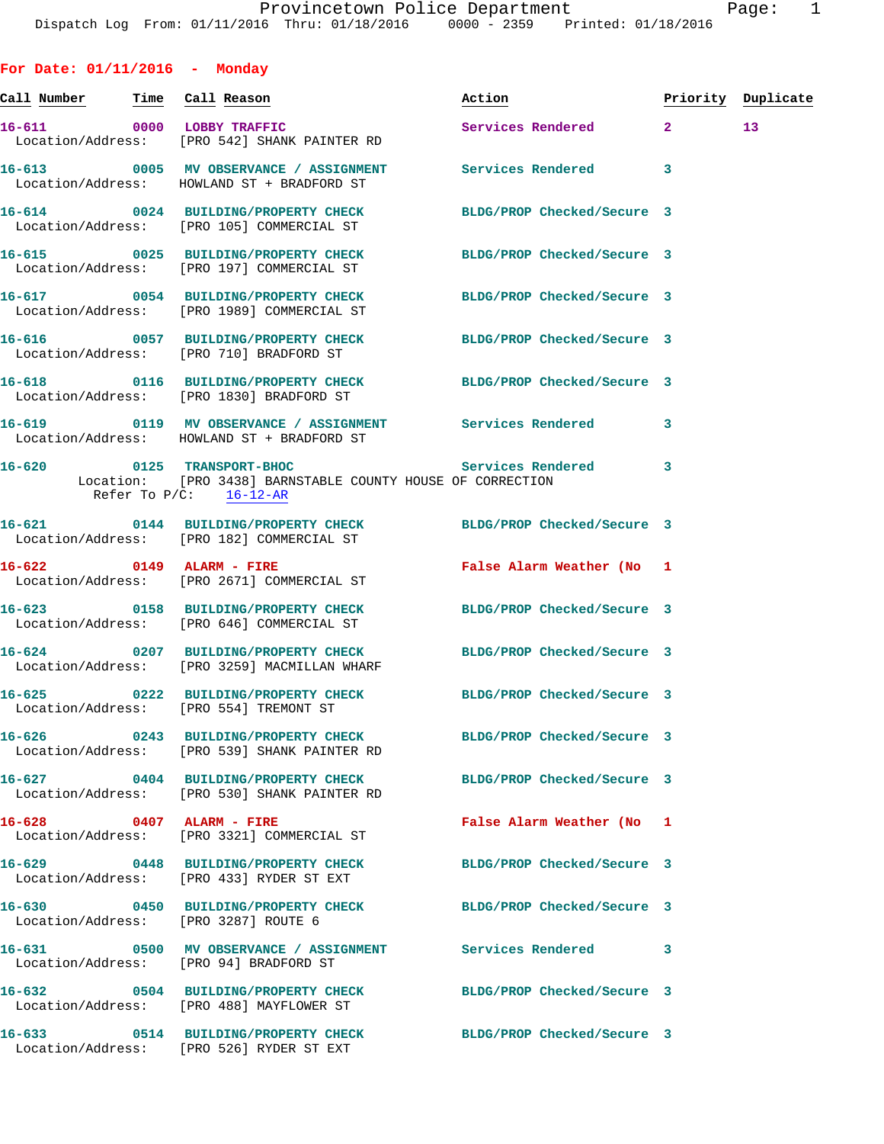**For Date: 01/11/2016 - Monday Call Number Time Call Reason Action Priority Duplicate 16-611 0000 LOBBY TRAFFIC Services Rendered 2 13**  Location/Address: [PRO 542] SHANK PAINTER RD **16-613 0005 MV OBSERVANCE / ASSIGNMENT Services Rendered 3**  Location/Address: HOWLAND ST + BRADFORD ST **16-614 0024 BUILDING/PROPERTY CHECK BLDG/PROP Checked/Secure 3**  Location/Address: [PRO 105] COMMERCIAL ST **16-615 0025 BUILDING/PROPERTY CHECK BLDG/PROP Checked/Secure 3**  Location/Address: [PRO 197] COMMERCIAL ST **16-617 0054 BUILDING/PROPERTY CHECK BLDG/PROP Checked/Secure 3**  Location/Address: [PRO 1989] COMMERCIAL ST **16-616 0057 BUILDING/PROPERTY CHECK BLDG/PROP Checked/Secure 3**  Location/Address: [PRO 710] BRADFORD ST **16-618 0116 BUILDING/PROPERTY CHECK BLDG/PROP Checked/Secure 3**  Location/Address: [PRO 1830] BRADFORD ST **16-619 0119 MV OBSERVANCE / ASSIGNMENT Services Rendered 3**  Location/Address: HOWLAND ST + BRADFORD ST **16-620 0125 TRANSPORT-BHOC Services Rendered 3**  Location: [PRO 3438] BARNSTABLE COUNTY HOUSE OF CORRECTION Refer To P/C: 16-12-AR **16-621 0144 BUILDING/PROPERTY CHECK BLDG/PROP Checked/Secure 3**  Location/Address: [PRO 182] COMMERCIAL ST **16-622 0149 ALARM - FIRE False Alarm Weather (No 1**  Location/Address: [PRO 2671] COMMERCIAL ST **16-623 0158 BUILDING/PROPERTY CHECK BLDG/PROP Checked/Secure 3**  Location/Address: [PRO 646] COMMERCIAL ST **16-624 0207 BUILDING/PROPERTY CHECK BLDG/PROP Checked/Secure 3**  Location/Address: [PRO 3259] MACMILLAN WHARF **16-625 0222 BUILDING/PROPERTY CHECK BLDG/PROP Checked/Secure 3**  Location/Address: [PRO 554] TREMONT ST **16-626 0243 BUILDING/PROPERTY CHECK BLDG/PROP Checked/Secure 3**  Location/Address: [PRO 539] SHANK PAINTER RD **16-627 0404 BUILDING/PROPERTY CHECK BLDG/PROP Checked/Secure 3**  Location/Address: [PRO 530] SHANK PAINTER RD **16-628 0407 ALARM - FIRE False Alarm Weather (No 1**  Location/Address: [PRO 3321] COMMERCIAL ST **16-629 0448 BUILDING/PROPERTY CHECK BLDG/PROP Checked/Secure 3**  Location/Address: [PRO 433] RYDER ST EXT **16-630 0450 BUILDING/PROPERTY CHECK BLDG/PROP Checked/Secure 3**  Location/Address: [PRO 3287] ROUTE 6 **16-631 0500 MV OBSERVANCE / ASSIGNMENT Services Rendered 3**  Location/Address: [PRO 94] BRADFORD ST

**16-632 0504 BUILDING/PROPERTY CHECK BLDG/PROP Checked/Secure 3**  Location/Address: [PRO 488] MAYFLOWER ST **16-633 0514 BUILDING/PROPERTY CHECK BLDG/PROP Checked/Secure 3**  Location/Address: [PRO 526] RYDER ST EXT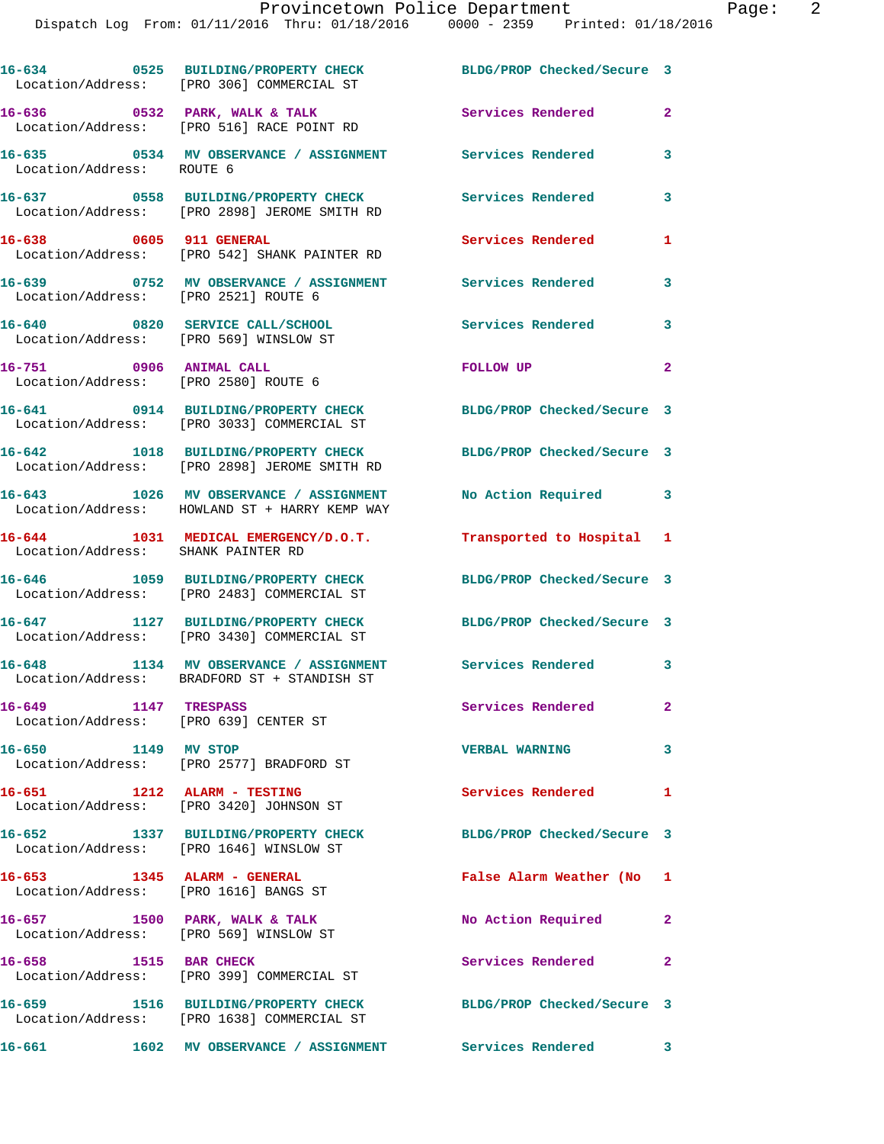|                                                                           | 16-634 0525 BUILDING/PROPERTY CHECK<br>Location/Address: [PRO 306] COMMERCIAL ST                             | BLDG/PROP Checked/Secure 3 |                         |
|---------------------------------------------------------------------------|--------------------------------------------------------------------------------------------------------------|----------------------------|-------------------------|
|                                                                           | 16-636 0532 PARK, WALK & TALK<br>Location/Address: [PRO 516] RACE POINT RD                                   | Services Rendered          | $\mathbf{2}$            |
|                                                                           | 16-635      0534   MV OBSERVANCE / ASSIGNMENT       Services Rendered<br>Location/Address:   ROUTE 6         |                            | 3                       |
|                                                                           | 16-637 0558 BUILDING/PROPERTY CHECK<br>Location/Address: [PRO 2898] JEROME SMITH RD                          | Services Rendered          | 3                       |
| 16-638 0605 911 GENERAL                                                   | Location/Address: [PRO 542] SHANK PAINTER RD                                                                 | Services Rendered          | 1                       |
| Location/Address: [PRO 2521] ROUTE 6                                      | 16-639 		 0752 MV OBSERVANCE / ASSIGNMENT Services Rendered                                                  |                            | 3                       |
| 16-640 0820 SERVICE CALL/SCHOOL<br>Location/Address: [PRO 569] WINSLOW ST |                                                                                                              | Services Rendered          | $\overline{\mathbf{3}}$ |
| 16-751 0906 ANIMAL CALL                                                   | Location/Address: [PRO 2580] ROUTE 6                                                                         | <b>FOLLOW UP</b>           | $\mathbf{2}$            |
|                                                                           | 16-641 0914 BUILDING/PROPERTY CHECK BLDG/PROP Checked/Secure 3<br>Location/Address: [PRO 3033] COMMERCIAL ST |                            |                         |
|                                                                           | 16-642 1018 BUILDING/PROPERTY CHECK<br>Location/Address: [PRO 2898] JEROME SMITH RD                          | BLDG/PROP Checked/Secure 3 |                         |
|                                                                           | 16-643 1026 MV OBSERVANCE / ASSIGNMENT<br>Location/Address: HOWLAND ST + HARRY KEMP WAY                      | No Action Required 3       |                         |
| Location/Address: SHANK PAINTER RD                                        | 16-644 1031 MEDICAL EMERGENCY/D.O.T.                                                                         | Transported to Hospital 1  |                         |
|                                                                           | 16-646 1059 BUILDING/PROPERTY CHECK<br>Location/Address: [PRO 2483] COMMERCIAL ST                            | BLDG/PROP Checked/Secure 3 |                         |
|                                                                           | 16-647 1127 BUILDING/PROPERTY CHECK<br>Location/Address: [PRO 3430] COMMERCIAL ST                            | BLDG/PROP Checked/Secure 3 |                         |
|                                                                           | 16-648 1134 MV OBSERVANCE / ASSIGNMENT<br>Location/Address: BRADFORD ST + STANDISH ST                        | Services Rendered 3        |                         |
| 16-649 1147 TRESPASS<br>Location/Address: [PRO 639] CENTER ST             |                                                                                                              | Services Rendered          | $\mathbf{2}$            |
| 16-650 1149 MV STOP                                                       | Location/Address: [PRO 2577] BRADFORD ST                                                                     | <b>VERBAL WARNING</b>      | 3                       |
| 16-651 1212 ALARM - TESTING                                               | Location/Address: [PRO 3420] JOHNSON ST                                                                      | Services Rendered          | 1                       |
|                                                                           | 16-652 1337 BUILDING/PROPERTY CHECK<br>Location/Address: [PRO 1646] WINSLOW ST                               | BLDG/PROP Checked/Secure 3 |                         |
| 16-653 1345 ALARM - GENERAL<br>Location/Address: [PRO 1616] BANGS ST      |                                                                                                              | False Alarm Weather (No    | $\mathbf{1}$            |
| 16-657 1500 PARK, WALK & TALK<br>Location/Address: [PRO 569] WINSLOW ST   |                                                                                                              | No Action Required         | $\mathbf{2}$            |
| 16-658 1515 BAR CHECK                                                     | Location/Address: [PRO 399] COMMERCIAL ST                                                                    | Services Rendered          | 2                       |
|                                                                           | 16-659 1516 BUILDING/PROPERTY CHECK<br>Location/Address: [PRO 1638] COMMERCIAL ST                            | BLDG/PROP Checked/Secure 3 |                         |

**16-661 1602 MV OBSERVANCE / ASSIGNMENT Services Rendered 3**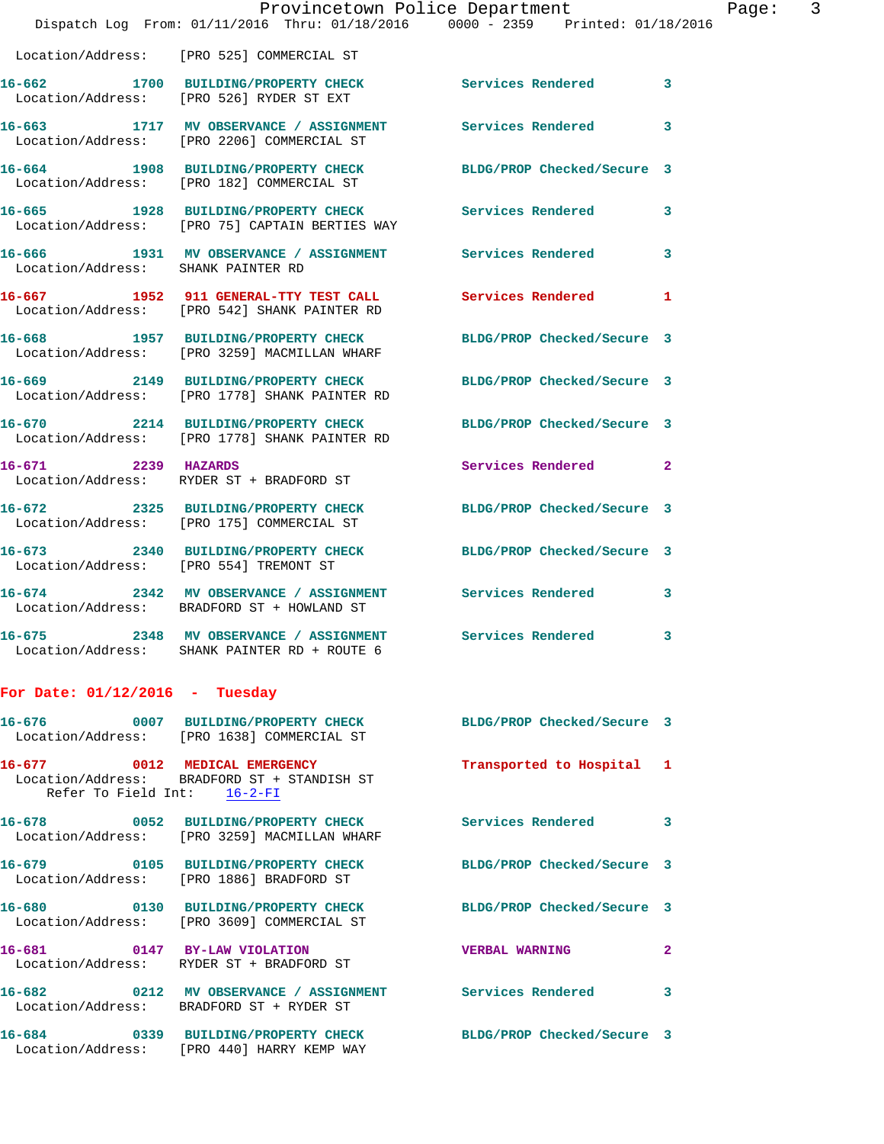|                                         | Provincetown Police Department                                                                          |                            |              |
|-----------------------------------------|---------------------------------------------------------------------------------------------------------|----------------------------|--------------|
|                                         | Dispatch Log From: 01/11/2016 Thru: 01/18/2016 0000 - 2359 Printed: 01/18/2016                          |                            |              |
|                                         | Location/Address: [PRO 525] COMMERCIAL ST                                                               |                            |              |
|                                         | 16-662 1700 BUILDING/PROPERTY CHECK Services Rendered<br>Location/Address: [PRO 526] RYDER ST EXT       |                            | 3            |
|                                         | 16-663 1717 MV OBSERVANCE / ASSIGNMENT Services Rendered<br>Location/Address: [PRO 2206] COMMERCIAL ST  |                            | 3            |
|                                         | 16-664 1908 BUILDING/PROPERTY CHECK<br>Location/Address: [PRO 182] COMMERCIAL ST                        | BLDG/PROP Checked/Secure 3 |              |
|                                         | 16-665 1928 BUILDING/PROPERTY CHECK Services Rendered<br>Location/Address: [PRO 75] CAPTAIN BERTIES WAY |                            | 3            |
| Location/Address: SHANK PAINTER RD      | 16-666 1931 MV OBSERVANCE / ASSIGNMENT Services Rendered                                                |                            | 3            |
|                                         | 16-667 1952 911 GENERAL-TTY TEST CALL<br>Location/Address: [PRO 542] SHANK PAINTER RD                   | <b>Services Rendered</b>   | 1            |
|                                         | 16-668 1957 BUILDING/PROPERTY CHECK<br>Location/Address: [PRO 3259] MACMILLAN WHARF                     | BLDG/PROP Checked/Secure 3 |              |
|                                         | 16-669 2149 BUILDING/PROPERTY CHECK<br>Location/Address: [PRO 1778] SHANK PAINTER RD                    | BLDG/PROP Checked/Secure 3 |              |
|                                         | 16-670 2214 BUILDING/PROPERTY CHECK<br>Location/Address: [PRO 1778] SHANK PAINTER RD                    | BLDG/PROP Checked/Secure 3 |              |
| 16-671 2239 HAZARDS                     | Location/Address: RYDER ST + BRADFORD ST                                                                | Services Rendered          | $\mathbf{2}$ |
|                                         | 16-672 2325 BUILDING/PROPERTY CHECK<br>Location/Address: [PRO 175] COMMERCIAL ST                        | BLDG/PROP Checked/Secure 3 |              |
| Location/Address: [PRO 554] TREMONT ST  | 16-673 2340 BUILDING/PROPERTY CHECK                                                                     | BLDG/PROP Checked/Secure 3 |              |
|                                         | 16-674 2342 MV OBSERVANCE / ASSIGNMENT Services Rendered<br>Location/Address: BRADFORD ST + HOWLAND ST  |                            | 3            |
| 16-675<br>Location/Address:             | 2348 MV OBSERVANCE / ASSIGNMENT Services Rendered<br>SHANK PAINTER RD + ROUTE 6                         |                            | 3            |
| For Date: $01/12/2016$ -                | Tuesday                                                                                                 |                            |              |
| $16 - 676$<br>0007<br>Location/Address: | <b>BUILDING/PROPERTY CHECK</b><br>[PRO 1638] COMMERCIAL ST                                              | BLDG/PROP Checked/Secure 3 |              |

**16-677 0012 MEDICAL EMERGENCY Transported to Hospital 1**  Location/Address: BRADFORD ST + STANDISH ST Refer To Field Int: 16-2-FI

**16-678 0052 BUILDING/PROPERTY CHECK Services Rendered 3**  Location/Address: [PRO 3259] MACMILLAN WHARF

**16-679 0105 BUILDING/PROPERTY CHECK BLDG/PROP Checked/Secure 3**  Location/Address: [PRO 1886] BRADFORD ST

**16-680 0130 BUILDING/PROPERTY CHECK BLDG/PROP Checked/Secure 3**  Location/Address: [PRO 3609] COMMERCIAL ST

**16-681 0147 BY-LAW VIOLATION VERBAL WARNING 2**  Location/Address: RYDER ST + BRADFORD ST

**16-682 0212 MV OBSERVANCE / ASSIGNMENT Services Rendered 3**  Location/Address: BRADFORD ST + RYDER ST

Location/Address: [PRO 440] HARRY KEMP WAY

**16-684 0339 BUILDING/PROPERTY CHECK BLDG/PROP Checked/Secure 3**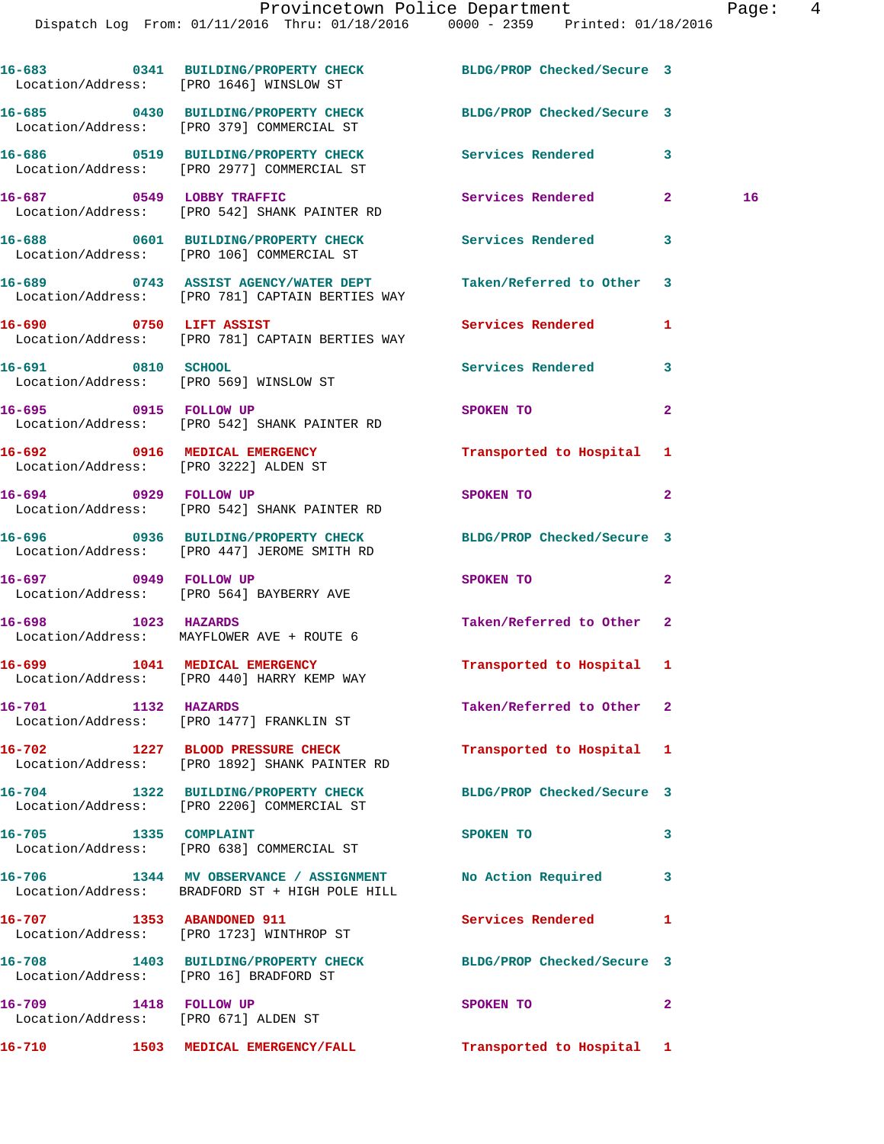|                       | 16-683 0341 BUILDING/PROPERTY CHECK<br>Location/Address: [PRO 1646] WINSLOW ST                              | BLDG/PROP Checked/Secure 3 |              |
|-----------------------|-------------------------------------------------------------------------------------------------------------|----------------------------|--------------|
|                       | 16-685 0430 BUILDING/PROPERTY CHECK<br>Location/Address: [PRO 379] COMMERCIAL ST                            | BLDG/PROP Checked/Secure 3 |              |
|                       | 16-686 0519 BUILDING/PROPERTY CHECK<br>Location/Address: [PRO 2977] COMMERCIAL ST                           | Services Rendered          | 3            |
|                       | 16-687 0549 LOBBY TRAFFIC<br>Location/Address: [PRO 542] SHANK PAINTER RD                                   | Services Rendered 2        | 16           |
|                       | 16-688 0601 BUILDING/PROPERTY CHECK Services Rendered<br>Location/Address: [PRO 106] COMMERCIAL ST          |                            | 3            |
|                       | 16-689 0743 ASSIST AGENCY/WATER DEPT<br>Location/Address: [PRO 781] CAPTAIN BERTIES WAY                     | Taken/Referred to Other    | 3            |
|                       | 16-690 0750 LIFT ASSIST<br>Location/Address: [PRO 781] CAPTAIN BERTIES WAY                                  | Services Rendered          | 1            |
| 16-691 0810 SCHOOL    | Location/Address: [PRO 569] WINSLOW ST                                                                      | Services Rendered 3        |              |
|                       | 16-695 0915 FOLLOW UP<br>Location/Address: [PRO 542] SHANK PAINTER RD                                       | SPOKEN TO                  | $\mathbf{2}$ |
|                       | 16-692 0916 MEDICAL EMERGENCY<br>Location/Address: [PRO 3222] ALDEN ST                                      | Transported to Hospital 1  |              |
|                       | 16-694 0929 FOLLOW UP<br>Location/Address: [PRO 542] SHANK PAINTER RD                                       | SPOKEN TO                  | $\mathbf{2}$ |
|                       | 16-696 0936 BUILDING/PROPERTY CHECK                                                                         | BLDG/PROP Checked/Secure 3 |              |
|                       | Location/Address: [PRO 447] JEROME SMITH RD<br>16-697 0949 FOLLOW UP                                        | SPOKEN TO                  | $\mathbf{2}$ |
|                       | Location/Address: [PRO 564] BAYBERRY AVE<br>16-698 1023 HAZARDS                                             | Taken/Referred to Other    | 2            |
|                       | Location/Address: MAYFLOWER AVE + ROUTE 6<br>16-699 1041 MEDICAL EMERGENCY                                  | Transported to Hospital 1  |              |
|                       | Location/Address: [PRO 440] HARRY KEMP WAY                                                                  |                            |              |
| 16-701                | 1132 HAZARDS<br>Location/Address: [PRO 1477] FRANKLIN ST                                                    | Taken/Referred to Other 2  |              |
|                       | 16-702 1227 BLOOD PRESSURE CHECK<br>Location/Address: [PRO 1892] SHANK PAINTER RD                           | Transported to Hospital 1  |              |
|                       | 16-704 1322 BUILDING/PROPERTY CHECK<br>Location/Address: [PRO 2206] COMMERCIAL ST                           | BLDG/PROP Checked/Secure 3 |              |
|                       | 16-705 1335 COMPLAINT<br>Location/Address: [PRO 638] COMMERCIAL ST                                          | SPOKEN TO                  | 3            |
|                       | 16-706 1344 MV OBSERVANCE / ASSIGNMENT No Action Required<br>Location/Address: BRADFORD ST + HIGH POLE HILL |                            | 3            |
|                       | 16-707 1353 ABANDONED 911<br>Location/Address: [PRO 1723] WINTHROP ST                                       | Services Rendered          | 1            |
|                       | 16-708 1403 BUILDING/PROPERTY CHECK<br>Location/Address: [PRO 16] BRADFORD ST                               | BLDG/PROP Checked/Secure 3 |              |
| 16-709 1418 FOLLOW UP | Location/Address: [PRO 671] ALDEN ST                                                                        | SPOKEN TO                  | $\mathbf{2}$ |
| 16-710                | 1503 MEDICAL EMERGENCY/FALL                                                                                 | Transported to Hospital 1  |              |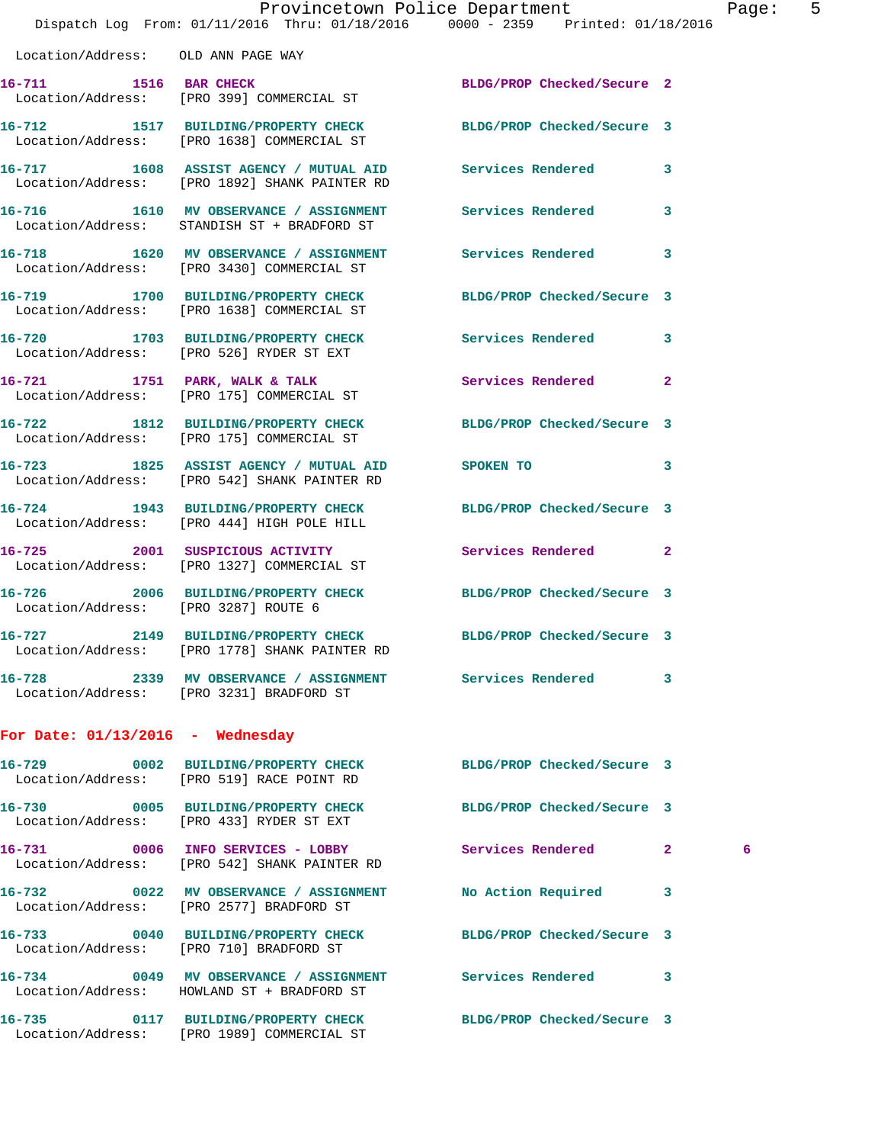|                                      | Provincetown Police Department<br>Dispatch Log From: 01/11/2016 Thru: 01/18/2016 0000 - 2359 Printed: 01/18/2016 |                   | Pag                 |
|--------------------------------------|------------------------------------------------------------------------------------------------------------------|-------------------|---------------------|
|                                      |                                                                                                                  |                   |                     |
|                                      | Location/Address: OLD ANN PAGE WAY                                                                               |                   |                     |
|                                      | 16-711 1516 BAR CHECK BLDG/PROP Checked/Secure 2<br>Location/Address: [PRO 399] COMMERCIAL ST                    |                   |                     |
|                                      | 16-712 1517 BUILDING/PROPERTY CHECK BLDG/PROP Checked/Secure 3<br>Location/Address: [PRO 1638] COMMERCIAL ST     |                   |                     |
|                                      | 16-717 1608 ASSIST AGENCY / MUTUAL AID Services Rendered<br>Location/Address: [PRO 1892] SHANK PAINTER RD        |                   | 3                   |
|                                      | 16-716 1610 MV OBSERVANCE / ASSIGNMENT Services Rendered<br>Location/Address: STANDISH ST + BRADFORD ST          |                   | 3                   |
|                                      | 16-718 1620 MV OBSERVANCE / ASSIGNMENT<br>Location/Address: [PRO 3430] COMMERCIAL ST                             | Services Rendered | 3                   |
|                                      | 16-719 1700 BUILDING/PROPERTY CHECK BLDG/PROP Checked/Secure 3<br>Location/Address: [PRO 1638] COMMERCIAL ST     |                   |                     |
|                                      | 16-720 1703 BUILDING/PROPERTY CHECK Services Rendered<br>Location/Address: [PRO 526] RYDER ST EXT                |                   | 3                   |
|                                      | 16-721 1751 PARK, WALK & TALK<br>Location/Address: [PRO 175] COMMERCIAL ST                                       | Services Rendered | $\mathbf{2}$        |
|                                      | 16-722 1812 BUILDING/PROPERTY CHECK BLDG/PROP Checked/Secure 3<br>Location/Address: [PRO 175] COMMERCIAL ST      |                   |                     |
|                                      | 16-723 1825 ASSIST AGENCY / MUTUAL AID<br>Location/Address: [PRO 542] SHANK PAINTER RD                           | SPOKEN TO         | 3                   |
|                                      | 16-724 1943 BUILDING/PROPERTY CHECK BLDG/PROP Checked/Secure 3<br>Location/Address: [PRO 444] HIGH POLE HILL     |                   |                     |
|                                      | 16-725 2001 SUSPICIOUS ACTIVITY Services Rendered<br>Location/Address: [PRO 1327] COMMERCIAL ST                  |                   | $\mathbf{2}$        |
| Location/Address: [PRO 3287] ROUTE 6 | 16-726 2006 BUILDING/PROPERTY CHECK BLDG/PROP Checked/Secure 3                                                   |                   |                     |
|                                      | 16-727 2149 BUILDING/PROPERTY CHECK BLDG/PROP Checked/Secure 3<br>Location/Address: [PRO 1778] SHANK PAINTER RD  |                   |                     |
|                                      | 16-728 2339 MV OBSERVANCE / ASSIGNMENT Services Rendered<br>Location/Address: [PRO 3231] BRADFORD ST             |                   | 3                   |
| For Date: $01/13/2016$ - Wednesday   |                                                                                                                  |                   |                     |
|                                      | 16-729 0002 BUILDING/PROPERTY CHECK BLDG/PROP Checked/Secure 3<br>Location/Address: [PRO 519] RACE POINT RD      |                   |                     |
|                                      | 16-730 0005 BUILDING/PROPERTY CHECK BLDG/PROP Checked/Secure 3<br>Location/Address: [PRO 433] RYDER ST EXT       |                   |                     |
|                                      | 16-731 0006 INFO SERVICES - LOBBY<br>Location/Address: [PRO 542] SHANK PAINTER RD                                | Services Rendered | $\mathbf{2}$<br>- 6 |
|                                      | 16-732 0022 MV OBSERVANCE / ASSIGNMENT No Action Required<br>Location/Address: [PRO 2577] BRADFORD ST            |                   | 3                   |
|                                      | 16-733 0040 BUILDING/PROPERTY CHECK BLDG/PROP Checked/Secure 3<br>Location/Address: [PRO 710] BRADFORD ST        |                   |                     |
|                                      | 16-734 0049 MV OBSERVANCE / ASSIGNMENT Services Rendered<br>Location/Address: HOWLAND ST + BRADFORD ST           |                   | 3                   |
| 16-735                               | 0117 BUILDING/PROPERTY CHECK BLDG/PROP Checked/Secure 3<br>Location/Address: [PRO 1989] COMMERCIAL ST            |                   |                     |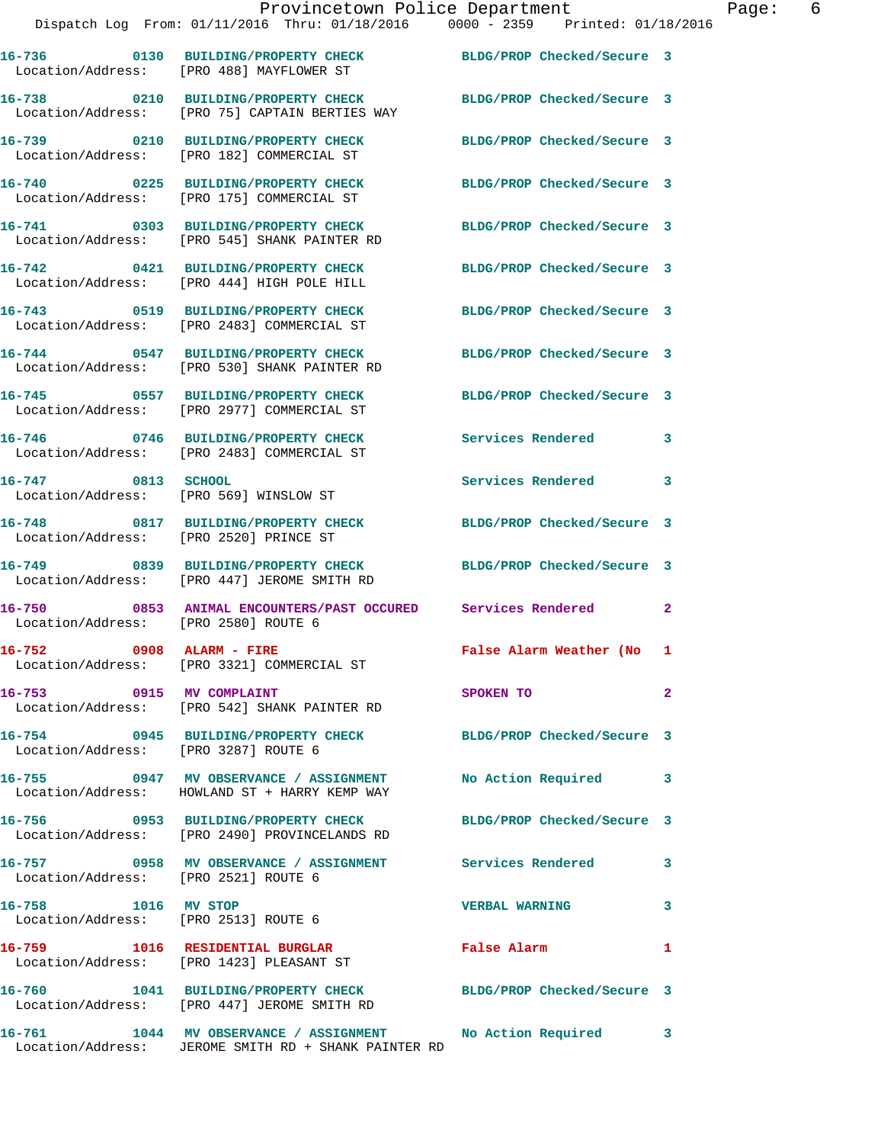Location/Address: [PRO 182] COMMERCIAL ST **16-740 0225 BUILDING/PROPERTY CHECK BLDG/PROP Checked/Secure 3**  Location/Address: [PRO 175] COMMERCIAL ST **16-741 0303 BUILDING/PROPERTY CHECK BLDG/PROP Checked/Secure 3**  Location/Address: [PRO 545] SHANK PAINTER RD

**16-739 0210 BUILDING/PROPERTY CHECK BLDG/PROP Checked/Secure 3** 

**16-742 0421 BUILDING/PROPERTY CHECK BLDG/PROP Checked/Secure 3**  Location/Address: [PRO 444] HIGH POLE HILL

Location/Address: [PRO 75] CAPTAIN BERTIES WAY

Location/Address: [PRO 2483] COMMERCIAL ST

**16-748 0817 BUILDING/PROPERTY CHECK BLDG/PROP Checked/Secure 3**  Location/Address: [PRO 2520] PRINCE ST

Location/Address: [PRO 3287] ROUTE 6

Location/Address: [PRO 2521] ROUTE 6

Location/Address: [PRO 2513] ROUTE 6

**16-744 0547 BUILDING/PROPERTY CHECK BLDG/PROP Checked/Secure 3**  Location/Address: [PRO 530] SHANK PAINTER RD

**16-745 0557 BUILDING/PROPERTY CHECK BLDG/PROP Checked/Secure 3**  Location/Address: [PRO 2977] COMMERCIAL ST

**16-746 0746 BUILDING/PROPERTY CHECK Services Rendered 3**  Location/Address: [PRO 2483] COMMERCIAL ST

Location/Address: [PRO 569] WINSLOW ST

Location/Address: [PRO 447] JEROME SMITH RD

**16-750 0853 ANIMAL ENCOUNTERS/PAST OCCURED Services Rendered 2**  Location/Address: [PRO 2580] ROUTE 6

Location/Address: [PRO 3321] COMMERCIAL ST

**16-753 0915 MV COMPLAINT SPOKEN TO 2**  Location/Address: [PRO 542] SHANK PAINTER RD

**16-755 0947 MV OBSERVANCE / ASSIGNMENT No Action Required 3**  Location/Address: HOWLAND ST + HARRY KEMP WAY

**16-756 0953 BUILDING/PROPERTY CHECK BLDG/PROP Checked/Secure 3**  Location/Address: [PRO 2490] PROVINCELANDS RD

**16-757 0958 MV OBSERVANCE / ASSIGNMENT Services Rendered 3** 

**16-759 1016 RESIDENTIAL BURGLAR False Alarm 1**  Location/Address: [PRO 1423] PLEASANT ST

**16-760 1041 BUILDING/PROPERTY CHECK BLDG/PROP Checked/Secure 3**  Location/Address: [PRO 447] JEROME SMITH RD

**16-761 1044 MV OBSERVANCE / ASSIGNMENT No Action Required 3**  Location/Address: JEROME SMITH RD + SHANK PAINTER RD

**16-743 0519 BUILDING/PROPERTY CHECK BLDG/PROP Checked/Secure 3** 

**16-747 0813 SCHOOL Services Rendered 3** 

**16-749 0839 BUILDING/PROPERTY CHECK BLDG/PROP Checked/Secure 3** 

**16-752 0908 ALARM - FIRE False Alarm Weather (No 1** 

**16-754 0945 BUILDING/PROPERTY CHECK BLDG/PROP Checked/Secure 3** 

**16-758 1016 MV STOP VERBAL WARNING 3**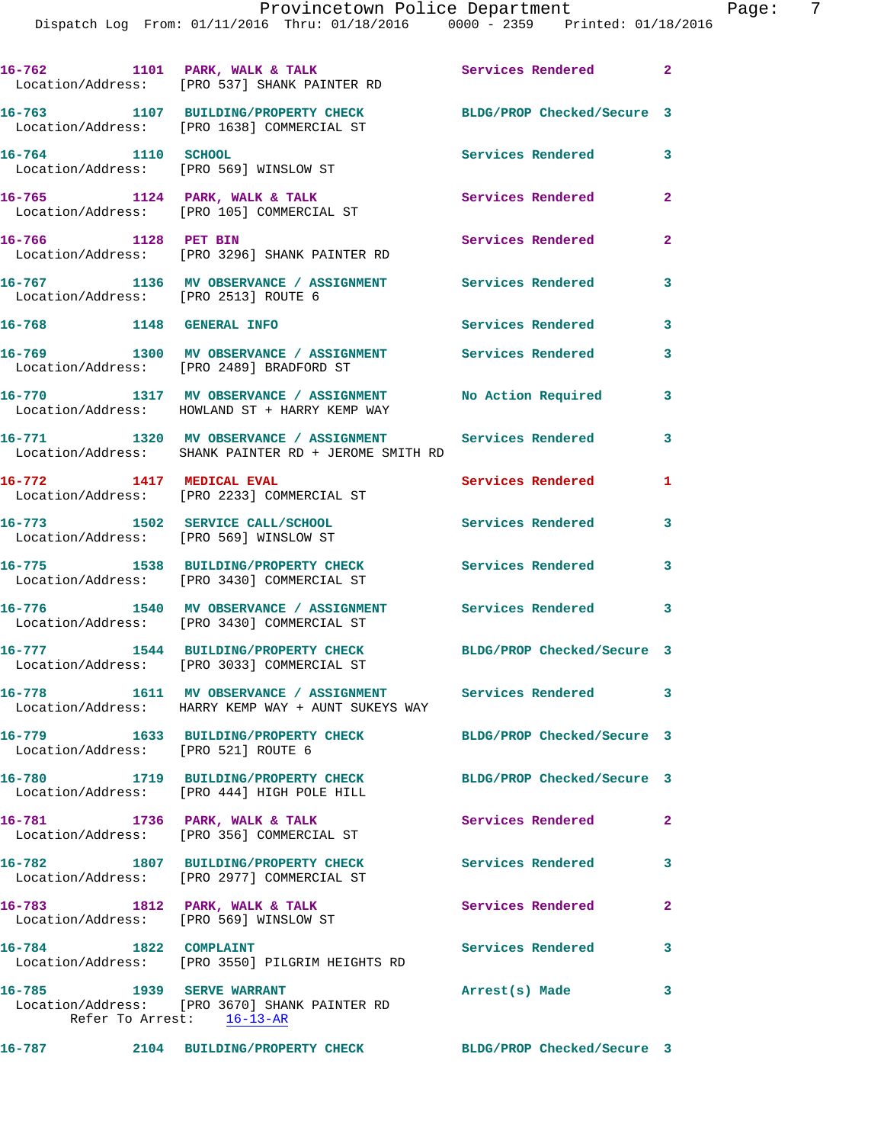| 16-787                   | 2104 BUILDING/PROPERTY CHECK                                                                            | BLDG/PROP Checked/Secure 3 |                |
|--------------------------|---------------------------------------------------------------------------------------------------------|----------------------------|----------------|
|                          | 16-785 1939 SERVE WARRANT<br>Location/Address: [PRO 3670] SHANK PAINTER RD<br>Refer To Arrest: 16-13-AR | Arrest(s) Made             | 3              |
| 16-784 1822 COMPLAINT    | Location/Address: [PRO 3550] PILGRIM HEIGHTS RD                                                         | <b>Services Rendered</b>   | 3              |
|                          | 16-783 1812 PARK, WALK & TALK<br>Location/Address: [PRO 569] WINSLOW ST                                 | Services Rendered          | $\overline{a}$ |
|                          | 16-782 1807 BUILDING/PROPERTY CHECK<br>Location/Address: [PRO 2977] COMMERCIAL ST                       | <b>Services Rendered</b>   | 3              |
|                          | 16-781 1736 PARK, WALK & TALK<br>Location/Address: [PRO 356] COMMERCIAL ST                              | Services Rendered          | 2              |
|                          | 16-780 1719 BUILDING/PROPERTY CHECK<br>Location/Address: [PRO 444] HIGH POLE HILL                       | BLDG/PROP Checked/Secure 3 |                |
|                          | 16-779 1633 BUILDING/PROPERTY CHECK<br>Location/Address: [PRO 521] ROUTE 6                              | BLDG/PROP Checked/Secure 3 |                |
| 16-778                   | 1611 MV OBSERVANCE / ASSIGNMENT Services Rendered<br>Location/Address: HARRY KEMP WAY + AUNT SUKEYS WAY |                            | 3              |
|                          | 16-777 1544 BUILDING/PROPERTY CHECK<br>Location/Address: [PRO 3033] COMMERCIAL ST                       | BLDG/PROP Checked/Secure 3 |                |
|                          | 16-776 1540 MV OBSERVANCE / ASSIGNMENT<br>Location/Address: [PRO 3430] COMMERCIAL ST                    | Services Rendered          | 3              |
|                          | 16-775 1538 BUILDING/PROPERTY CHECK<br>Location/Address: [PRO 3430] COMMERCIAL ST                       | Services Rendered          | 3              |
|                          | 16-773 1502 SERVICE CALL/SCHOOL<br>Location/Address: [PRO 569] WINSLOW ST                               | Services Rendered          | 3              |
| 16-772 1417 MEDICAL EVAL | Location/Address: [PRO 2233] COMMERCIAL ST                                                              | Services Rendered          | 1              |
|                          | 16-771 1320 MV OBSERVANCE / ASSIGNMENT<br>Location/Address: SHANK PAINTER RD + JEROME SMITH RD          | Services Rendered          | 3              |
| 16-770                   | 1317 MV OBSERVANCE / ASSIGNMENT<br>Location/Address: HOWLAND ST + HARRY KEMP WAY                        | No Action Required         | 3              |
|                          | 16-769 1300 MV OBSERVANCE / ASSIGNMENT<br>Location/Address: [PRO 2489] BRADFORD ST                      | Services Rendered          | 3              |
|                          | Location/Address: [PRO 2513] ROUTE 6<br>16-768 1148 GENERAL INFO                                        | Services Rendered          | 3              |
|                          | Location/Address: [PRO 3296] SHANK PAINTER RD<br>16-767 1136 MV OBSERVANCE / ASSIGNMENT                 | Services Rendered          | 3              |
| 16-766 1128 PET BIN      | Location/Address: [PRO 105] COMMERCIAL ST                                                               | Services Rendered          | $\mathbf{2}$   |
|                          | 16-765 1124 PARK, WALK & TALK                                                                           | Services Rendered          | 2              |
| 16-764 1110 SCHOOL       | Location/Address: [PRO 569] WINSLOW ST                                                                  | Services Rendered          | 3              |
|                          | 16-763 1107 BUILDING/PROPERTY CHECK<br>Location/Address: [PRO 1638] COMMERCIAL ST                       | BLDG/PROP Checked/Secure 3 |                |
|                          | 16-762 1101 PARK, WALK & TALK<br>Location/Address: [PRO 537] SHANK PAINTER RD                           | Services Rendered          | $\overline{2}$ |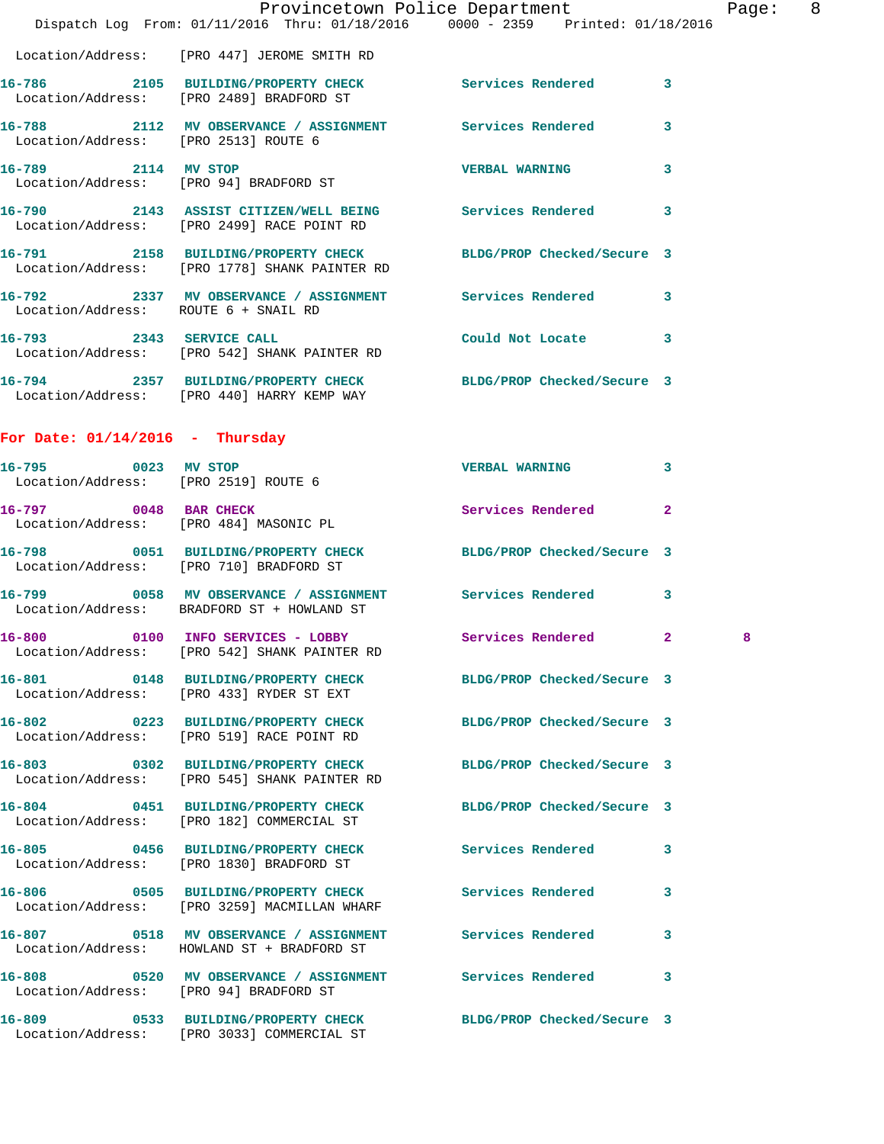|                                                                                     |                              | Provincetown Police Department<br>Dispatch Log From: 01/11/2016 Thru: 01/18/2016 0000 - 2359 Printed: 01/18/2016 |                            |                            | Pag                          |
|-------------------------------------------------------------------------------------|------------------------------|------------------------------------------------------------------------------------------------------------------|----------------------------|----------------------------|------------------------------|
| Location/Address: [PRO 447] JEROME SMITH RD                                         |                              |                                                                                                                  |                            |                            |                              |
| Location/Address: [PRO 2489] BRADFORD ST                                            |                              | 16-786 2105 BUILDING/PROPERTY CHECK Services Rendered                                                            |                            |                            | 3                            |
| Location/Address: [PRO 2513] ROUTE 6                                                |                              | 16-788 2112 MV OBSERVANCE / ASSIGNMENT Services Rendered                                                         |                            |                            | 3                            |
| 16-789 2114 MV STOP<br>Location/Address: [PRO 94] BRADFORD ST                       |                              |                                                                                                                  | <b>VERBAL WARNING</b>      |                            | 3                            |
| Location/Address: [PRO 2499] RACE POINT RD                                          |                              | 16-790 2143 ASSIST CITIZEN/WELL BEING Services Rendered                                                          |                            |                            | 3                            |
|                                                                                     |                              | 16-791 2158 BUILDING/PROPERTY CHECK BLDG/PROP Checked/Secure 3<br>Location/Address: [PRO 1778] SHANK PAINTER RD  |                            |                            |                              |
| Location/Address: ROUTE 6 + SNAIL RD                                                |                              | 16-792 2337 MV OBSERVANCE / ASSIGNMENT Services Rendered                                                         |                            |                            | 3                            |
| 16-793 2343 SERVICE CALL<br>Location/Address: [PRO 542] SHANK PAINTER RD            |                              |                                                                                                                  | Could Not Locate           |                            | 3                            |
| Location/Address: [PRO 440] HARRY KEMP WAY                                          |                              | 16-794 2357 BUILDING/PROPERTY CHECK BLDG/PROP Checked/Secure 3                                                   |                            |                            |                              |
| For Date: $01/14/2016$ - Thursday                                                   |                              |                                                                                                                  |                            |                            |                              |
| 16-795 0023 MV STOP<br>Location/Address: [PRO 2519] ROUTE 6                         |                              |                                                                                                                  | <b>VERBAL WARNING</b>      |                            | 3                            |
| 16-797 0048 BAR CHECK<br>Location/Address: [PRO 484] MASONIC PL                     |                              |                                                                                                                  | Services Rendered          |                            | $\overline{a}$               |
| Location/Address: [PRO 710] BRADFORD ST                                             |                              | 16-798 0051 BUILDING/PROPERTY CHECK BLDG/PROP Checked/Secure 3                                                   |                            |                            |                              |
| Location/Address: BRADFORD ST + HOWLAND ST                                          |                              | 16-799 0058 MV OBSERVANCE / ASSIGNMENT Services Rendered 3                                                       |                            |                            |                              |
| $16 - 800$<br>Location/Address: [PRO 542] SHANK PAINTER RD                          | 0100                         | INFO SERVICES - LOBBY Services Rendered                                                                          |                            |                            | $\overline{\mathbf{2}}$<br>8 |
|                                                                                     |                              | 16-801 0148 BUILDING/PROPERTY CHECK<br>Location/Address: [PRO 433] RYDER ST EXT                                  |                            | BLDG/PROP Checked/Secure 3 |                              |
| Location/Address: [PRO 519] RACE POINT RD                                           |                              | 16-802 0223 BUILDING/PROPERTY CHECK                                                                              |                            | BLDG/PROP Checked/Secure 3 |                              |
| 16-803 0302 BUILDING/PROPERTY CHECK<br>Location/Address: [PRO 545] SHANK PAINTER RD |                              |                                                                                                                  |                            | BLDG/PROP Checked/Secure 3 |                              |
| 16-804 0451 BUILDING/PROPERTY CHECK<br>Location/Address: [PRO 182] COMMERCIAL ST    |                              |                                                                                                                  | BLDG/PROP Checked/Secure 3 |                            |                              |
| 16-805 0456 BUILDING/PROPERTY CHECK<br>Location/Address: [PRO 1830] BRADFORD ST     |                              |                                                                                                                  | <b>Services Rendered</b>   |                            | 3                            |
| 16-806 0505 BUILDING/PROPERTY CHECK<br>Location/Address: [PRO 3259] MACMILLAN WHARF |                              |                                                                                                                  | <b>Services Rendered</b>   |                            | 3                            |
| Location/Address: HOWLAND ST + BRADFORD ST                                          |                              | 16-807 0518 MV OBSERVANCE / ASSIGNMENT Services Rendered                                                         |                            |                            | 3                            |
| Location/Address: [PRO 94] BRADFORD ST                                              |                              | 16-808 0520 MV OBSERVANCE / ASSIGNMENT Services Rendered                                                         |                            |                            | 3                            |
| 16-809                                                                              | 0533 BUILDING/PROPERTY CHECK |                                                                                                                  | BLDG/PROP Checked/Secure 3 |                            |                              |

Location/Address: [PRO 3033] COMMERCIAL ST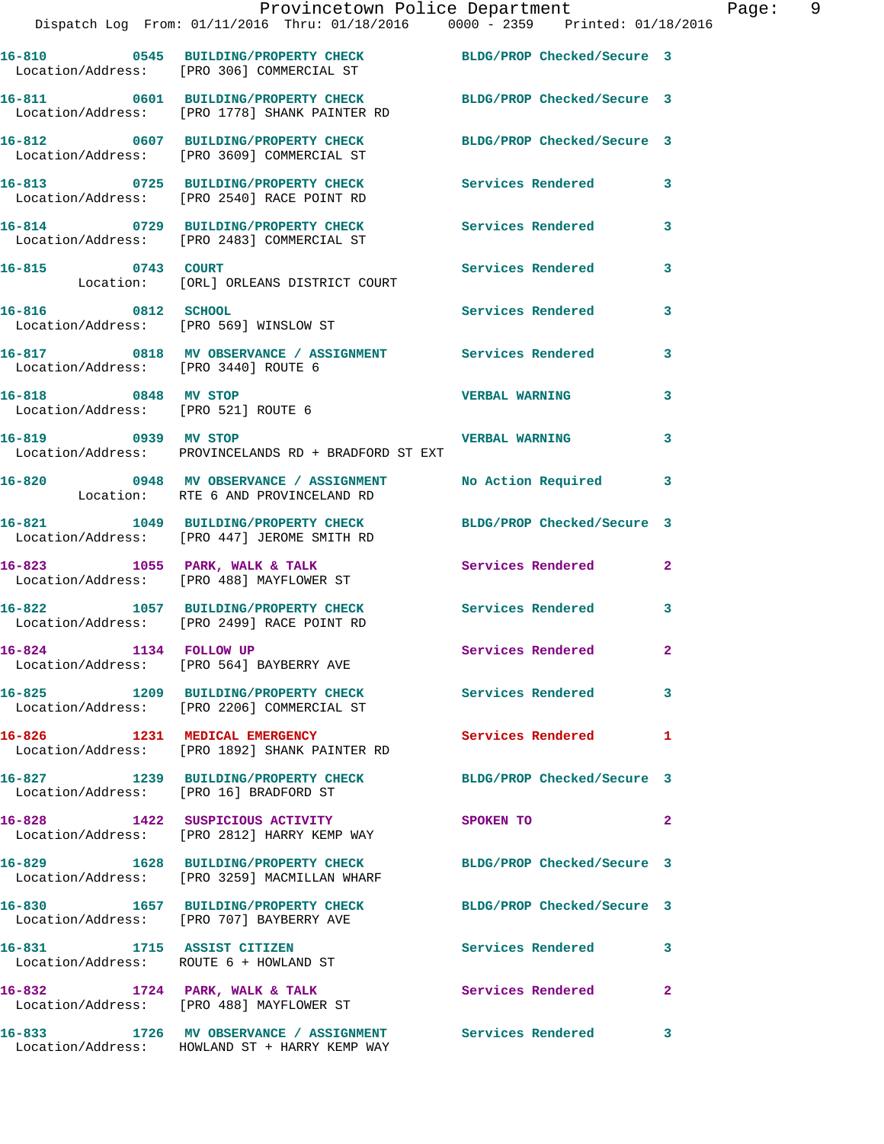|                                        | Provincetown Police Department<br>Dispatch Log From: 01/11/2016 Thru: 01/18/2016 0000 - 2359 Printed: 01/18/2016 |                            |                |
|----------------------------------------|------------------------------------------------------------------------------------------------------------------|----------------------------|----------------|
|                                        | 16-810 0545 BUILDING/PROPERTY CHECK BLDG/PROP Checked/Secure 3<br>Location/Address: [PRO 306] COMMERCIAL ST      |                            |                |
|                                        | 16-811 0601 BUILDING/PROPERTY CHECK BLDG/PROP Checked/Secure 3<br>Location/Address: [PRO 1778] SHANK PAINTER RD  |                            |                |
|                                        | 16-812 0607 BUILDING/PROPERTY CHECK<br>Location/Address: [PRO 3609] COMMERCIAL ST                                | BLDG/PROP Checked/Secure 3 |                |
|                                        | 16-813 0725 BUILDING/PROPERTY CHECK Services Rendered<br>Location/Address: [PRO 2540] RACE POINT RD              |                            | 3              |
|                                        | 16-814 0729 BUILDING/PROPERTY CHECK Services Rendered<br>Location/Address: [PRO 2483] COMMERCIAL ST              |                            | 3              |
| 16-815 0743 COURT                      | Location: [ORL] ORLEANS DISTRICT COURT                                                                           | Services Rendered          | 3              |
|                                        | 16-816 0812 SCHOOL<br>Location/Address: [PRO 569] WINSLOW ST                                                     | <b>Services Rendered</b>   | 3              |
| Location/Address: [PRO 3440] ROUTE 6   | 16-817 0818 MV OBSERVANCE / ASSIGNMENT Services Rendered                                                         |                            | 3              |
| 16-818 0848 MV STOP                    | Location/Address: [PRO 521] ROUTE 6                                                                              | <b>VERBAL WARNING</b>      | 3              |
| 16-819 0939 MV STOP                    | Location/Address: PROVINCELANDS RD + BRADFORD ST EXT                                                             | <b>VERBAL WARNING</b>      | 3              |
|                                        | 16-820 0948 MV OBSERVANCE / ASSIGNMENT<br>Location: RTE 6 AND PROVINCELAND RD                                    | No Action Required         | 3              |
|                                        | 16-821 1049 BUILDING/PROPERTY CHECK<br>Location/Address: [PRO 447] JEROME SMITH RD                               | BLDG/PROP Checked/Secure 3 |                |
|                                        | 16-823 1055 PARK, WALK & TALK 1999 Services Rendered<br>Location/Address: [PRO 488] MAYFLOWER ST                 |                            | $\overline{2}$ |
|                                        | 16-822 1057 BUILDING/PROPERTY CHECK Services Rendered<br>Location/Address: [PRO 2499] RACE POINT RD              |                            | 3              |
| 16-824 1134 FOLLOW UP                  | Location/Address: [PRO 564] BAYBERRY AVE                                                                         | Services Rendered          | $\mathbf{2}$   |
|                                        | 16-825 1209 BUILDING/PROPERTY CHECK Services Rendered<br>Location/Address: [PRO 2206] COMMERCIAL ST              |                            | 3              |
|                                        | 16-826 1231 MEDICAL EMERGENCY<br>Location/Address: [PRO 1892] SHANK PAINTER RD                                   | Services Rendered          | 1              |
| Location/Address: [PRO 16] BRADFORD ST | 16-827 1239 BUILDING/PROPERTY CHECK                                                                              | BLDG/PROP Checked/Secure 3 |                |
|                                        | 16-828 1422 SUSPICIOUS ACTIVITY<br>Location/Address: [PRO 2812] HARRY KEMP WAY                                   | SPOKEN TO                  | $\overline{a}$ |
|                                        | 16-829 1628 BUILDING/PROPERTY CHECK<br>Location/Address: [PRO 3259] MACMILLAN WHARF                              | BLDG/PROP Checked/Secure 3 |                |
|                                        | 16-830 1657 BUILDING/PROPERTY CHECK<br>Location/Address: [PRO 707] BAYBERRY AVE                                  | BLDG/PROP Checked/Secure 3 |                |
|                                        | 16-831 1715 ASSIST CITIZEN<br>Location/Address: ROUTE 6 + HOWLAND ST                                             | Services Rendered          | 3              |
|                                        | 16-832 1724 PARK, WALK & TALK<br>Location/Address: [PRO 488] MAYFLOWER ST                                        | <b>Services Rendered</b>   | $\overline{2}$ |
| 16-833                                 | 1726 MV OBSERVANCE / ASSIGNMENT Services Rendered                                                                |                            | 3              |

Location/Address: HOWLAND ST + HARRY KEMP WAY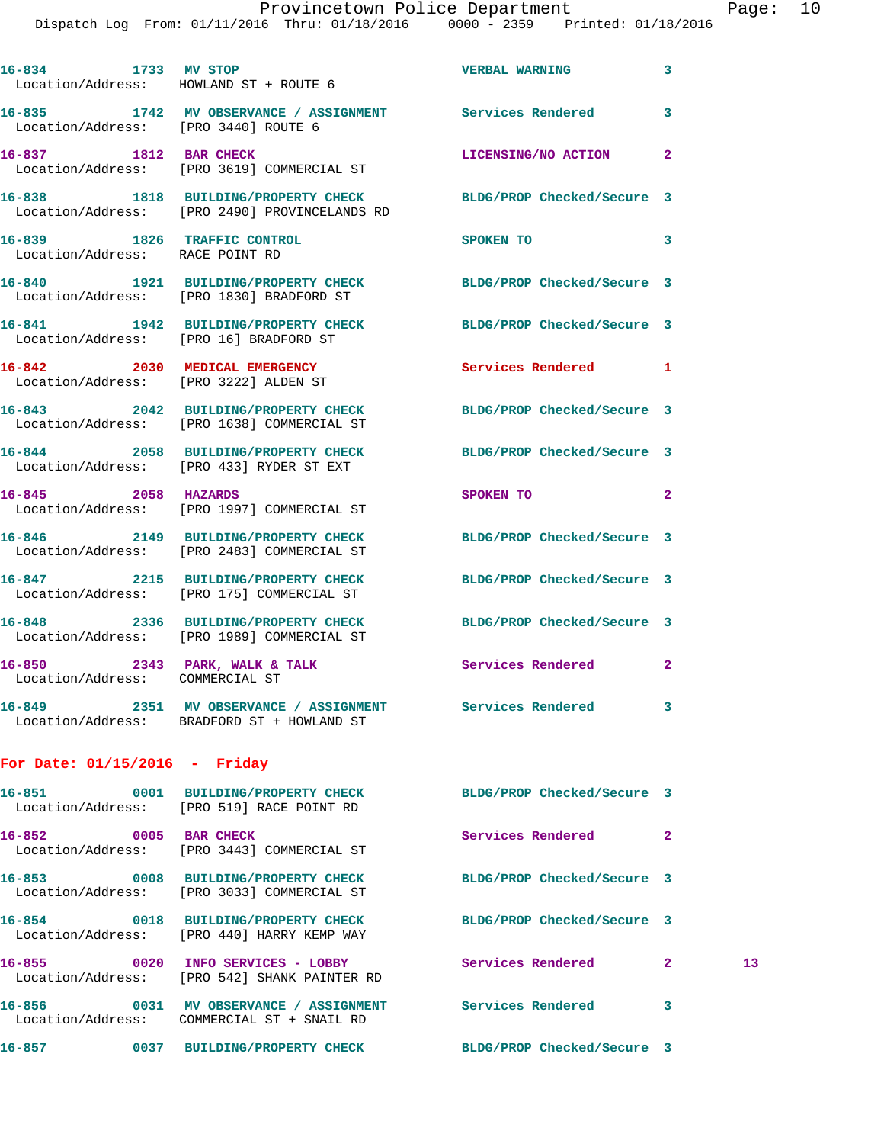| 16-834 1733 MV STOP                                              | Location/Address: HOWLAND ST + ROUTE 6                                                                   | <b>VERBAL WARNING</b>      | $\mathbf{3}$               |
|------------------------------------------------------------------|----------------------------------------------------------------------------------------------------------|----------------------------|----------------------------|
| Location/Address: [PRO 3440] ROUTE 6                             | 16-835 1742 MV OBSERVANCE / ASSIGNMENT Services Rendered 3                                               |                            |                            |
| 1812 BAR CHECK<br>16-837                                         | Location/Address: [PRO 3619] COMMERCIAL ST                                                               | LICENSING/NO ACTION 2      |                            |
| 16-838                                                           | 1818 BUILDING/PROPERTY CHECK<br>Location/Address: [PRO 2490] PROVINCELANDS RD                            | BLDG/PROP Checked/Secure 3 |                            |
| 16-839 1826 TRAFFIC CONTROL<br>Location/Address: RACE POINT RD   |                                                                                                          | SPOKEN TO                  | $\overline{\mathbf{3}}$    |
|                                                                  | 16-840 1921 BUILDING/PROPERTY CHECK<br>Location/Address: [PRO 1830] BRADFORD ST                          | BLDG/PROP Checked/Secure 3 |                            |
| Location/Address: [PRO 16] BRADFORD ST                           | 16-841 1942 BUILDING/PROPERTY CHECK                                                                      | BLDG/PROP Checked/Secure 3 |                            |
| 16-842 2030 MEDICAL EMERGENCY                                    | Location/Address: [PRO 3222] ALDEN ST                                                                    | Services Rendered 1        |                            |
| 16-843                                                           | 2042 BUILDING/PROPERTY CHECK<br>Location/Address: [PRO 1638] COMMERCIAL ST                               | BLDG/PROP Checked/Secure 3 |                            |
| 16-844                                                           | 2058 BUILDING/PROPERTY CHECK<br>Location/Address: [PRO 433] RYDER ST EXT                                 | BLDG/PROP Checked/Secure 3 |                            |
| 16-845 2058 HAZARDS                                              | Location/Address: [PRO 1997] COMMERCIAL ST                                                               | SPOKEN TO                  | $\mathbf{2}$               |
|                                                                  | 16-846 2149 BUILDING/PROPERTY CHECK<br>Location/Address: [PRO 2483] COMMERCIAL ST                        | BLDG/PROP Checked/Secure 3 |                            |
| 16-847                                                           | 2215 BUILDING/PROPERTY CHECK<br>Location/Address: [PRO 175] COMMERCIAL ST                                | BLDG/PROP Checked/Secure 3 |                            |
| 16-848                                                           | 2336 BUILDING/PROPERTY CHECK<br>Location/Address: [PRO 1989] COMMERCIAL ST                               | BLDG/PROP Checked/Secure 3 |                            |
| 16-850 2343 PARK, WALK & TALK<br>Location/Address: COMMERCIAL ST |                                                                                                          | Services Rendered          | $\overline{\phantom{0}}$ 2 |
|                                                                  | 16-849 2351 MV OBSERVANCE / ASSIGNMENT Services Rendered 3<br>Location/Address: BRADFORD ST + HOWLAND ST |                            |                            |
| For Date: 01/15/2016 - Friday                                    |                                                                                                          |                            |                            |

|                | Location/Address: [PRO 519] RACE POINT RD                                                       | BLDG/PROP Checked/Secure 3 |                |                 |
|----------------|-------------------------------------------------------------------------------------------------|----------------------------|----------------|-----------------|
| 16-852 0005    | <b>BAR CHECK</b><br>Location/Address: [PRO 3443] COMMERCIAL ST                                  | Services Rendered          | $\overline{2}$ |                 |
|                | Location/Address: [PRO 3033] COMMERCIAL ST                                                      | BLDG/PROP Checked/Secure 3 |                |                 |
|                | Location/Address: [PRO 440] HARRY KEMP WAY                                                      | BLDG/PROP Checked/Secure 3 |                |                 |
|                | Location/Address: [PRO 542] SHANK PAINTER RD                                                    | Services Rendered          | $\overline{2}$ | 13 <sup>°</sup> |
| 16–856         | 0031 MV OBSERVANCE / ASSIGNMENT Services Rendered<br>Location/Address: COMMERCIAL ST + SNAIL RD |                            | 3              |                 |
| 16-857<br>0037 | BUILDING/PROPERTY CHECK                                                                         | BLDG/PROP Checked/Secure 3 |                |                 |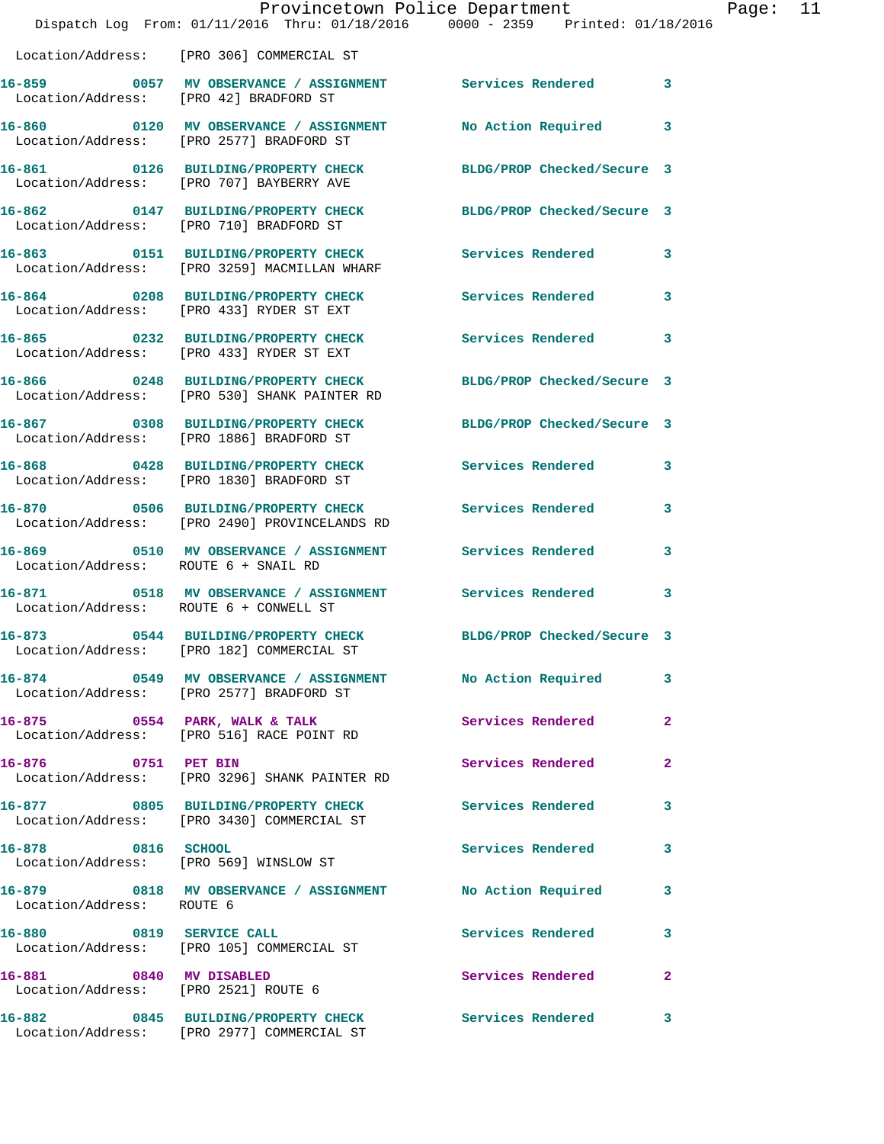|                                        | Provincetown Police Department<br>Dispatch Log From: 01/11/2016 Thru: 01/18/2016 0000 - 2359 Printed: 01/18/2016     |                            |              | Page: 11 |  |
|----------------------------------------|----------------------------------------------------------------------------------------------------------------------|----------------------------|--------------|----------|--|
|                                        | Location/Address: [PRO 306] COMMERCIAL ST                                                                            |                            |              |          |  |
|                                        | 16-859 0057 MV OBSERVANCE / ASSIGNMENT Services Rendered 3<br>Location/Address: [PRO 42] BRADFORD ST                 |                            |              |          |  |
|                                        | 16-860 0120 MV OBSERVANCE / ASSIGNMENT No Action Required 3<br>Location/Address: [PRO 2577] BRADFORD ST              |                            |              |          |  |
|                                        | 16-861 0126 BUILDING/PROPERTY CHECK BLDG/PROP Checked/Secure 3<br>Location/Address: [PRO 707] BAYBERRY AVE           |                            |              |          |  |
|                                        | 16-862 0147 BUILDING/PROPERTY CHECK BLDG/PROP Checked/Secure 3<br>Location/Address: [PRO 710] BRADFORD ST            |                            |              |          |  |
|                                        | 16-863 0151 BUILDING/PROPERTY CHECK Services Rendered 3<br>Location/Address: [PRO 3259] MACMILLAN WHARF              |                            |              |          |  |
|                                        | 16-864 0208 BUILDING/PROPERTY CHECK Services Rendered<br>Location/Address: [PRO 433] RYDER ST EXT                    |                            | 3            |          |  |
|                                        | 16-865 		 0232 BUILDING/PROPERTY CHECK Services Rendered 3<br>Location/Address: [PRO 433] RYDER ST EXT               |                            |              |          |  |
|                                        | 16-866 0248 BUILDING/PROPERTY CHECK BLDG/PROP Checked/Secure 3<br>Location/Address: [PRO 530] SHANK PAINTER RD       |                            |              |          |  |
|                                        | 16-867 0308 BUILDING/PROPERTY CHECK BLDG/PROP Checked/Secure 3<br>Location/Address: [PRO 1886] BRADFORD ST           |                            |              |          |  |
|                                        | 16-868 0428 BUILDING/PROPERTY CHECK<br>Location/Address: [PRO 1830] BRADFORD ST                                      | Services Rendered          | 3            |          |  |
|                                        | 16-870 0506 BUILDING/PROPERTY CHECK Services Rendered 3<br>Location/Address: [PRO 2490] PROVINCELANDS RD             |                            |              |          |  |
| Location/Address: ROUTE 6 + SNAIL RD   | 16-869 0510 MV OBSERVANCE / ASSIGNMENT Services Rendered                                                             |                            | 3            |          |  |
| Location/Address: ROUTE 6 + CONWELL ST | 16-871 0518 MV OBSERVANCE / ASSIGNMENT Services Rendered 3                                                           |                            |              |          |  |
| 16-873                                 | 0544 BUILDING/PROPERTY CHECK<br>Location/Address: [PRO 182] COMMERCIAL ST                                            | BLDG/PROP Checked/Secure 3 |              |          |  |
|                                        | 16-874      0549   MV OBSERVANCE / ASSIGNMENT       No Action Required<br>Location/Address:   [PRO 2577] BRADFORD ST |                            | 3            |          |  |
|                                        | 16-875 0554 PARK, WALK & TALK<br>Location/Address: [PRO 516] RACE POINT RD                                           | Services Rendered          | $\mathbf{2}$ |          |  |
| 16-876 0751 PET BIN                    | Location/Address: [PRO 3296] SHANK PAINTER RD                                                                        | Services Rendered          | $\mathbf{2}$ |          |  |
|                                        | 16-877 0805 BUILDING/PROPERTY CHECK<br>Location/Address: [PRO 3430] COMMERCIAL ST                                    | <b>Services Rendered</b>   | 3            |          |  |
| 16-878 0816 SCHOOL                     | Location/Address: [PRO 569] WINSLOW ST                                                                               | Services Rendered          | 3            |          |  |
| Location/Address: ROUTE 6              | 16-879 0818 MV OBSERVANCE / ASSIGNMENT No Action Required                                                            |                            | 3            |          |  |
|                                        | 16-880 0819 SERVICE CALL<br>Location/Address: [PRO 105] COMMERCIAL ST                                                | Services Rendered 3        |              |          |  |
| Location/Address: [PRO 2521] ROUTE 6   | 16-881 0840 MV DISABLED                                                                                              | Services Rendered          | $\mathbf{2}$ |          |  |
|                                        | 16-882 0845 BUILDING/PROPERTY CHECK Services Rendered<br>Location/Address: [PRO 2977] COMMERCIAL ST                  |                            | 3            |          |  |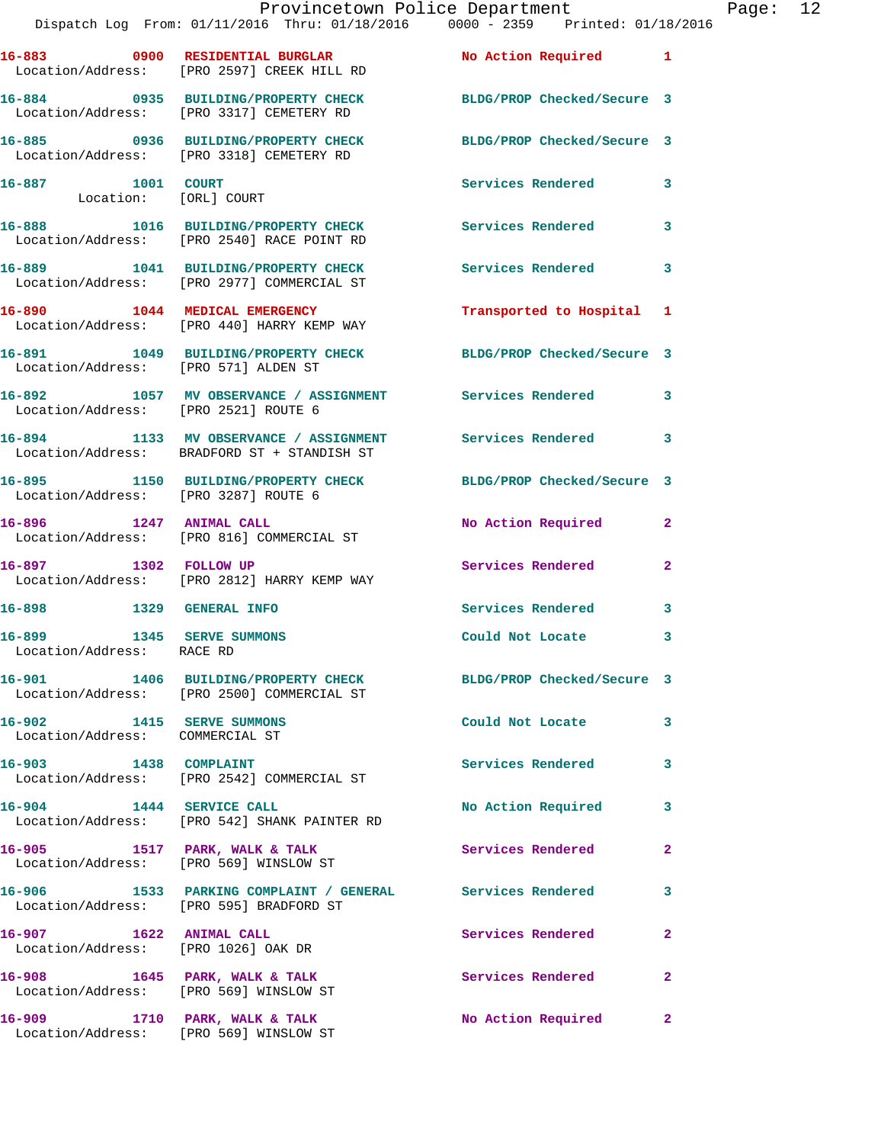|                                                              | Provincetown Police Department The Page: 12<br>Dispatch Log From: 01/11/2016 Thru: 01/18/2016 0000 - 2359 Printed: 01/18/2016 |                           |              |  |
|--------------------------------------------------------------|-------------------------------------------------------------------------------------------------------------------------------|---------------------------|--------------|--|
|                                                              | 16-883 0900 RESIDENTIAL BURGLAR No Action Required 1<br>Location/Address: [PRO 2597] CREEK HILL RD                            |                           |              |  |
|                                                              | 16-884 0935 BUILDING/PROPERTY CHECK BLDG/PROP Checked/Secure 3<br>Location/Address: [PRO 3317] CEMETERY RD                    |                           |              |  |
|                                                              | 16-885 0936 BUILDING/PROPERTY CHECK BLDG/PROP Checked/Secure 3<br>Location/Address: [PRO 3318] CEMETERY RD                    |                           |              |  |
| 16-887 1001 COURT                                            | Location: [ORL] COURT                                                                                                         | Services Rendered 3       |              |  |
|                                                              | 16-888 1016 BUILDING/PROPERTY CHECK Services Rendered 3<br>Location/Address: [PRO 2540] RACE POINT RD                         |                           |              |  |
|                                                              | 16-889 1041 BUILDING/PROPERTY CHECK Services Rendered 3<br>Location/Address: [PRO 2977] COMMERCIAL ST                         |                           |              |  |
|                                                              | 16-890 1044 MEDICAL EMERGENCY<br>Location/Address: [PRO 440] HARRY KEMP WAY                                                   | Transported to Hospital 1 |              |  |
|                                                              | 16-891 1049 BUILDING/PROPERTY CHECK BLDG/PROP Checked/Secure 3<br>Location/Address: [PRO 571] ALDEN ST                        |                           |              |  |
| Location/Address: [PRO 2521] ROUTE 6                         | 16-892 1057 MV OBSERVANCE / ASSIGNMENT Services Rendered 3                                                                    |                           |              |  |
|                                                              | 16-894 1133 MV OBSERVANCE / ASSIGNMENT Services Rendered 3<br>Location/Address: BRADFORD ST + STANDISH ST                     |                           |              |  |
|                                                              | 16-895 1150 BUILDING/PROPERTY CHECK BLDG/PROP Checked/Secure 3<br>Location/Address: [PRO 3287] ROUTE 6                        |                           |              |  |
|                                                              | 16-896 1247 ANIMAL CALL<br>Location/Address: [PRO 816] COMMERCIAL ST                                                          | No Action Required 2      |              |  |
|                                                              | 16-897 1302 FOLLOW UP<br>Location/Address: [PRO 2812] HARRY KEMP WAY                                                          | Services Rendered 2       |              |  |
| 16-898 1329 GENERAL INFO                                     |                                                                                                                               | Services Rendered 3       |              |  |
| 16-899 1345 SERVE SUMMONS<br>Location/Address: RACE RD       |                                                                                                                               | Could Not Locate          | 3            |  |
|                                                              | 16-901 1406 BUILDING/PROPERTY CHECK BLDG/PROP Checked/Secure 3<br>Location/Address: [PRO 2500] COMMERCIAL ST                  |                           |              |  |
| 16-902 1415 SERVE SUMMONS<br>Location/Address: COMMERCIAL ST |                                                                                                                               | Could Not Locate 3        |              |  |
|                                                              | 16-903 1438 COMPLAINT<br>Location/Address: [PRO 2542] COMMERCIAL ST                                                           | Services Rendered 3       |              |  |
|                                                              | 16-904 1444 SERVICE CALL<br>Location/Address: [PRO 542] SHANK PAINTER RD                                                      | No Action Required 3      |              |  |
|                                                              | 16-905 1517 PARK, WALK & TALK<br>Location/Address: [PRO 569] WINSLOW ST                                                       | Services Rendered 2       |              |  |
|                                                              | 16-906 1533 PARKING COMPLAINT / GENERAL Services Rendered<br>Location/Address: [PRO 595] BRADFORD ST                          |                           | $\mathbf{3}$ |  |
| 16-907 1622 ANIMAL CALL                                      | Location/Address: [PRO 1026] OAK DR                                                                                           | Services Rendered 2       |              |  |
|                                                              | 16-908 1645 PARK, WALK & TALK Services Rendered<br>Location/Address: [PRO 569] WINSLOW ST                                     |                           | $\mathbf{2}$ |  |
|                                                              | 16-909 1710 PARK, WALK & TALK 1999 No Action Required 2<br>Location/Address: [PRO 569] WINSLOW ST                             |                           |              |  |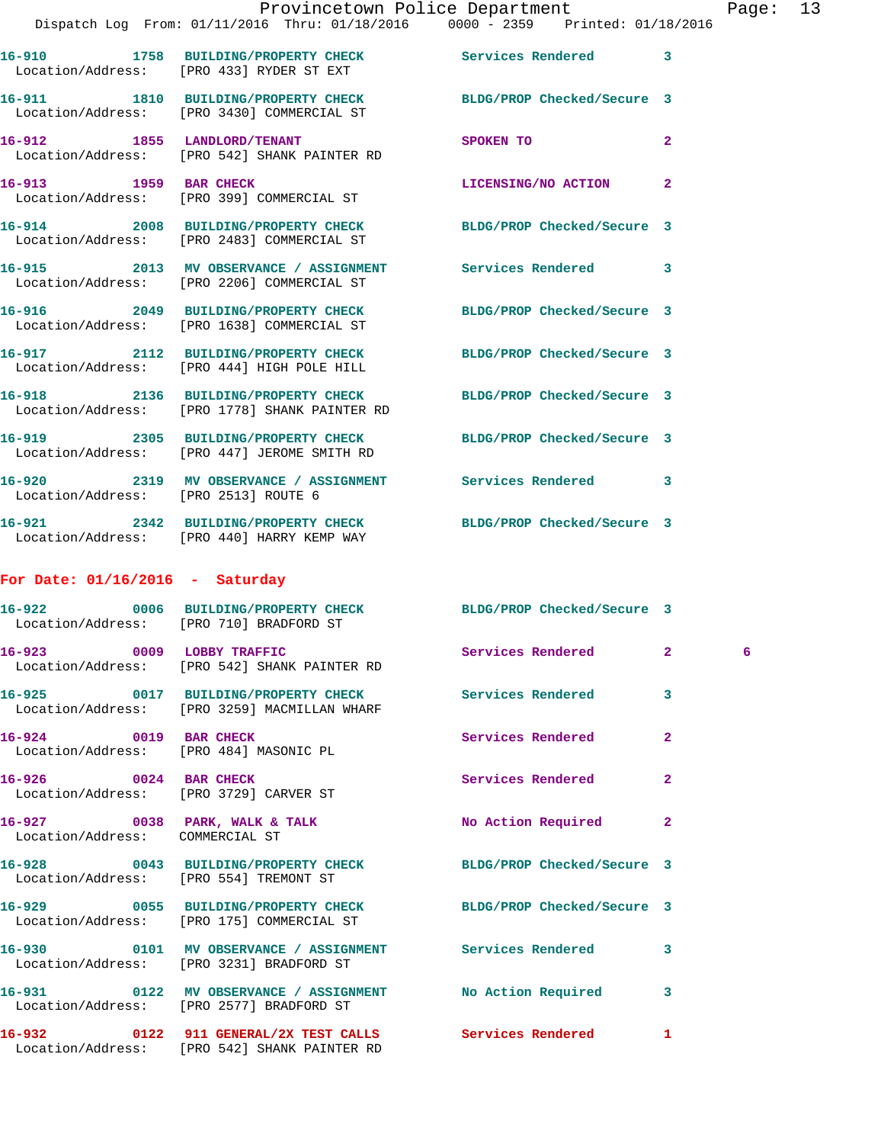|                                                                 |                                                                                                                 | Provincetown Police Department |                | Pag |
|-----------------------------------------------------------------|-----------------------------------------------------------------------------------------------------------------|--------------------------------|----------------|-----|
|                                                                 | Dispatch Log From: 01/11/2016 Thru: 01/18/2016 0000 - 2359 Printed: 01/18/2016                                  |                                |                |     |
|                                                                 | 16-910 1758 BUILDING/PROPERTY CHECK Services Rendered<br>Location/Address: [PRO 433] RYDER ST EXT               |                                | 3              |     |
|                                                                 | 16-911 1810 BUILDING/PROPERTY CHECK BLDG/PROP Checked/Secure 3<br>Location/Address: [PRO 3430] COMMERCIAL ST    |                                |                |     |
|                                                                 | 16-912 1855 LANDLORD/TENANT<br>Location/Address: [PRO 542] SHANK PAINTER RD                                     | SPOKEN TO                      | $\overline{a}$ |     |
|                                                                 | 16-913 1959 BAR CHECK<br>Location/Address: [PRO 399] COMMERCIAL ST                                              | LICENSING/NO ACTION            | $\mathbf{2}$   |     |
|                                                                 | 16-914 2008 BUILDING/PROPERTY CHECK BLDG/PROP Checked/Secure 3<br>Location/Address: [PRO 2483] COMMERCIAL ST    |                                |                |     |
|                                                                 | 16-915 2013 MV OBSERVANCE / ASSIGNMENT Services Rendered<br>Location/Address: [PRO 2206] COMMERCIAL ST          |                                | 3              |     |
|                                                                 | 16-916 2049 BUILDING/PROPERTY CHECK<br>Location/Address: [PRO 1638] COMMERCIAL ST                               | BLDG/PROP Checked/Secure 3     |                |     |
|                                                                 | 16-917 2112 BUILDING/PROPERTY CHECK BLDG/PROP Checked/Secure 3<br>Location/Address: [PRO 444] HIGH POLE HILL    |                                |                |     |
|                                                                 | 16-918 2136 BUILDING/PROPERTY CHECK BLDG/PROP Checked/Secure 3<br>Location/Address: [PRO 1778] SHANK PAINTER RD |                                |                |     |
|                                                                 | 16-919 2305 BUILDING/PROPERTY CHECK BLDG/PROP Checked/Secure 3<br>Location/Address: [PRO 447] JEROME SMITH RD   |                                |                |     |
| Location/Address: [PRO 2513] ROUTE 6                            | 16-920 2319 MV OBSERVANCE / ASSIGNMENT Services Rendered 3                                                      |                                |                |     |
|                                                                 | 16-921 2342 BUILDING/PROPERTY CHECK BLDG/PROP Checked/Secure 3<br>Location/Address: [PRO 440] HARRY KEMP WAY    |                                |                |     |
| For Date: $01/16/2016$ - Saturday                               |                                                                                                                 |                                |                |     |
|                                                                 | 16-922 0006 BUILDING/PROPERTY CHECK BLDG/PROP Checked/Secure 3<br>Location/Address: [PRO 710] BRADFORD ST       |                                |                |     |
| 0009 LOBBY TRAFFIC<br>16-923                                    | Location/Address: [PRO 542] SHANK PAINTER RD                                                                    | Services Rendered              | $\mathbf{2}$   | - 6 |
|                                                                 | 16-925 0017 BUILDING/PROPERTY CHECK<br>Location/Address: [PRO 3259] MACMILLAN WHARF                             | Services Rendered              | 3              |     |
| 16-924 0019 BAR CHECK<br>Location/Address: [PRO 484] MASONIC PL |                                                                                                                 | <b>Services Rendered</b>       | $\mathbf{2}$   |     |
| 16-926 0024 BAR CHECK                                           | Location/Address: [PRO 3729] CARVER ST                                                                          | <b>Services Rendered</b>       | 2              |     |
| Location/Address: COMMERCIAL ST                                 | 16-927 0038 PARK, WALK & TALK                                                                                   | No Action Required             | $\mathbf{2}$   |     |
| Location/Address: [PRO 554] TREMONT ST                          | 16-928 0043 BUILDING/PROPERTY CHECK                                                                             | BLDG/PROP Checked/Secure 3     |                |     |
|                                                                 | 16-929 0055 BUILDING/PROPERTY CHECK<br>Location/Address: [PRO 175] COMMERCIAL ST                                | BLDG/PROP Checked/Secure 3     |                |     |
|                                                                 | 16-930 0101 MV OBSERVANCE / ASSIGNMENT Services Rendered<br>Location/Address: [PRO 3231] BRADFORD ST            |                                | 3              |     |

Location/Address: [PRO 2577] BRADFORD ST

Location/Address: [PRO 542] SHANK PAINTER RD

**16-931 0122 MV OBSERVANCE / ASSIGNMENT No Action Required 3** 

**16-932 0122 911 GENERAL/2X TEST CALLS Services Rendered 1**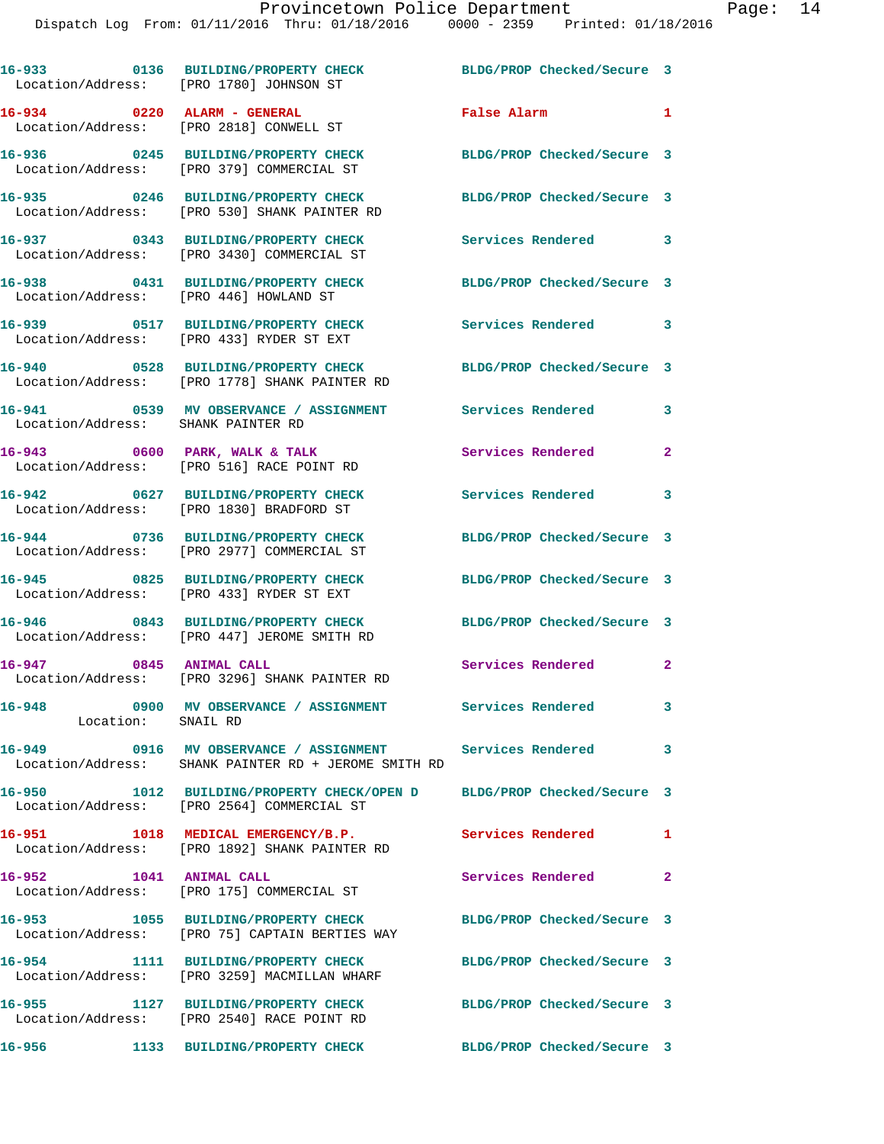|                                        | 16-933 0136 BUILDING/PROPERTY CHECK<br>Location/Address: [PRO 1780] JOHNSON ST                                      | BLDG/PROP Checked/Secure 3 |                |
|----------------------------------------|---------------------------------------------------------------------------------------------------------------------|----------------------------|----------------|
|                                        | 16-934 0220 ALARM - GENERAL<br>Location/Address: [PRO 2818] CONWELL ST                                              | False Alarm                | $\mathbf{1}$   |
|                                        | 16-936 0245 BUILDING/PROPERTY CHECK<br>Location/Address: [PRO 379] COMMERCIAL ST                                    | BLDG/PROP Checked/Secure 3 |                |
|                                        | 16-935 0246 BUILDING/PROPERTY CHECK<br>Location/Address: [PRO 530] SHANK PAINTER RD                                 | BLDG/PROP Checked/Secure 3 |                |
|                                        | 16-937 0343 BUILDING/PROPERTY CHECK<br>Location/Address: [PRO 3430] COMMERCIAL ST                                   | Services Rendered 3        |                |
| Location/Address: [PRO 446] HOWLAND ST | 16-938 0431 BUILDING/PROPERTY CHECK                                                                                 | BLDG/PROP Checked/Secure 3 |                |
|                                        | 16-939 0517 BUILDING/PROPERTY CHECK<br>Location/Address: [PRO 433] RYDER ST EXT                                     | Services Rendered 3        |                |
|                                        | 16-940 0528 BUILDING/PROPERTY CHECK<br>Location/Address: [PRO 1778] SHANK PAINTER RD                                | BLDG/PROP Checked/Secure 3 |                |
| Location/Address: SHANK PAINTER RD     | 16-941 0539 MV OBSERVANCE / ASSIGNMENT Services Rendered                                                            |                            | 3              |
|                                        | 16-943 0600 PARK, WALK & TALK<br>Location/Address: [PRO 516] RACE POINT RD                                          | Services Rendered          | $\overline{2}$ |
|                                        | 16-942 0627 BUILDING/PROPERTY CHECK<br>Location/Address: [PRO 1830] BRADFORD ST                                     | <b>Services Rendered</b>   | 3              |
| Location/Address:                      | 16-944 0736 BUILDING/PROPERTY CHECK<br>[PRO 2977] COMMERCIAL ST                                                     | BLDG/PROP Checked/Secure 3 |                |
|                                        | 16-945 0825 BUILDING/PROPERTY CHECK<br>Location/Address: [PRO 433] RYDER ST EXT                                     | BLDG/PROP Checked/Secure 3 |                |
|                                        | 16-946 0843 BUILDING/PROPERTY CHECK<br>Location/Address: [PRO 447] JEROME SMITH RD                                  | BLDG/PROP Checked/Secure 3 |                |
| 16-947 0845 ANIMAL CALL                | Location/Address: [PRO 3296] SHANK PAINTER RD                                                                       | Services Rendered          | $\mathbf{2}$   |
| Location: SNAIL RD                     | 16-948 0900 MV OBSERVANCE / ASSIGNMENT Services Rendered                                                            |                            | 3              |
|                                        | 16-949 0916 MV OBSERVANCE / ASSIGNMENT Services Rendered 3<br>Location/Address: SHANK PAINTER RD + JEROME SMITH RD  |                            |                |
|                                        | 16-950 1012 BUILDING/PROPERTY CHECK/OPEN D BLDG/PROP Checked/Secure 3<br>Location/Address: [PRO 2564] COMMERCIAL ST |                            |                |
|                                        | 16-951 1018 MEDICAL EMERGENCY/B.P. Services Rendered 1<br>Location/Address: [PRO 1892] SHANK PAINTER RD             |                            |                |
| 16-952 1041 ANIMAL CALL                | Location/Address: [PRO 175] COMMERCIAL ST                                                                           | Services Rendered          | $\mathbf{2}$   |
|                                        | 16-953 1055 BUILDING/PROPERTY CHECK BLDG/PROP Checked/Secure 3<br>Location/Address: [PRO 75] CAPTAIN BERTIES WAY    |                            |                |
|                                        | 16-954 1111 BUILDING/PROPERTY CHECK<br>Location/Address: [PRO 3259] MACMILLAN WHARF                                 | BLDG/PROP Checked/Secure 3 |                |
|                                        | 16-955 1127 BUILDING/PROPERTY CHECK<br>Location/Address: [PRO 2540] RACE POINT RD                                   | BLDG/PROP Checked/Secure 3 |                |
| 16-956                                 | 1133 BUILDING/PROPERTY CHECK                                                                                        | BLDG/PROP Checked/Secure 3 |                |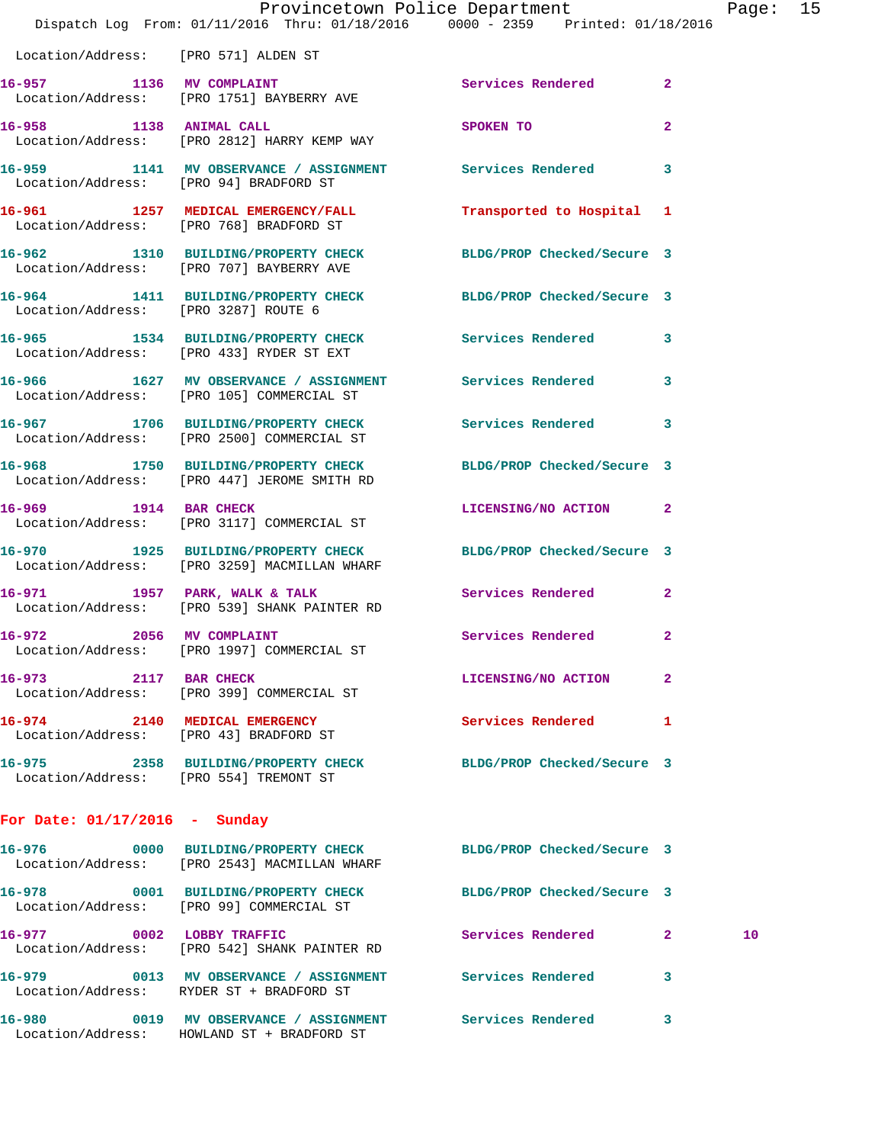|                                      | Dispatch Log From: 01/11/2016 Thru: 01/18/2016 0000 - 2359 Printed: 01/18/2016                                 | Provincetown Police Department |              | Page: 15 |  |
|--------------------------------------|----------------------------------------------------------------------------------------------------------------|--------------------------------|--------------|----------|--|
| Location/Address: [PRO 571] ALDEN ST |                                                                                                                |                                |              |          |  |
|                                      | 16-957 1136 MV COMPLAINT<br>Location/Address: [PRO 1751] BAYBERRY AVE                                          | Services Rendered 2            |              |          |  |
|                                      | 16-958 1138 ANIMAL CALL<br>Location/Address: [PRO 2812] HARRY KEMP WAY                                         | SPOKEN TO                      | $\mathbf{2}$ |          |  |
|                                      | 16-959 1141 MV OBSERVANCE / ASSIGNMENT Services Rendered 3<br>Location/Address: [PRO 94] BRADFORD ST           |                                |              |          |  |
|                                      | 16-961 1257 MEDICAL EMERGENCY/FALL 7ransported to Hospital 1<br>Location/Address: [PRO 768] BRADFORD ST        |                                |              |          |  |
|                                      | 16-962 1310 BUILDING/PROPERTY CHECK BLDG/PROP Checked/Secure 3<br>Location/Address: [PRO 707] BAYBERRY AVE     |                                |              |          |  |
| Location/Address: [PRO 3287] ROUTE 6 | 16-964 1411 BUILDING/PROPERTY CHECK BLDG/PROP Checked/Secure 3                                                 |                                |              |          |  |
|                                      | 16-965 1534 BUILDING/PROPERTY CHECK Services Rendered 3<br>Location/Address: [PRO 433] RYDER ST EXT            |                                |              |          |  |
|                                      | 16-966 1627 MV OBSERVANCE / ASSIGNMENT Services Rendered 3<br>Location/Address: [PRO 105] COMMERCIAL ST        |                                |              |          |  |
|                                      | 16-967 1706 BUILDING/PROPERTY CHECK Services Rendered<br>Location/Address: [PRO 2500] COMMERCIAL ST            |                                | $\mathbf{3}$ |          |  |
|                                      | 16-968 1750 BUILDING/PROPERTY CHECK BLDG/PROP Checked/Secure 3<br>Location/Address: [PRO 447] JEROME SMITH RD  |                                |              |          |  |
| 16-969 1914 BAR CHECK                | Location/Address: [PRO 3117] COMMERCIAL ST                                                                     | LICENSING/NO ACTION 2          |              |          |  |
|                                      | 16-970 1925 BUILDING/PROPERTY CHECK BLDG/PROP Checked/Secure 3<br>Location/Address: [PRO 3259] MACMILLAN WHARF |                                |              |          |  |
|                                      | 16-971 1957 PARK, WALK & TALK<br>Location/Address: [PRO 539] SHANK PAINTER RD                                  | Services Rendered              | $\mathbf{2}$ |          |  |
| 2056 MV COMPLAINT<br>16-972          | Location/Address: [PRO 1997] COMMERCIAL ST                                                                     | <b>Services Rendered</b> 2     |              |          |  |
| 16-973 2117 BAR CHECK                | Location/Address: [PRO 399] COMMERCIAL ST                                                                      | LICENSING/NO ACTION 2          |              |          |  |
|                                      | 16-974 2140 MEDICAL EMERGENCY<br>Location/Address: [PRO 43] BRADFORD ST                                        | Services Rendered 1            |              |          |  |
|                                      | 16-975 2358 BUILDING/PROPERTY CHECK BLDG/PROP Checked/Secure 3<br>Location/Address: [PRO 554] TREMONT ST       |                                |              |          |  |
| For Date: $01/17/2016$ - Sunday      |                                                                                                                |                                |              |          |  |
| 16-976                               | 0000 BUILDING/PROPERTY CHECK BLDG/PROP Checked/Secure 3<br>Location/Address: [PRO 2543] MACMILLAN WHARF        |                                |              |          |  |
|                                      | 16-978 0001 BUILDING/PROPERTY CHECK BLDG/PROP Checked/Secure 3<br>Location/Address: [PRO 99] COMMERCIAL ST     |                                |              |          |  |
|                                      | 16-977 0002 LOBBY TRAFFIC<br>Location/Address: [PRO 542] SHANK PAINTER RD                                      | Services Rendered 2            |              | 10       |  |
|                                      | 16-979 0013 MV OBSERVANCE / ASSIGNMENT Services Rendered 3<br>Location/Address: RYDER ST + BRADFORD ST         |                                |              |          |  |
|                                      | 16-980 0019 MV OBSERVANCE / ASSIGNMENT Services Rendered 3                                                     |                                |              |          |  |

Location/Address: HOWLAND ST + BRADFORD ST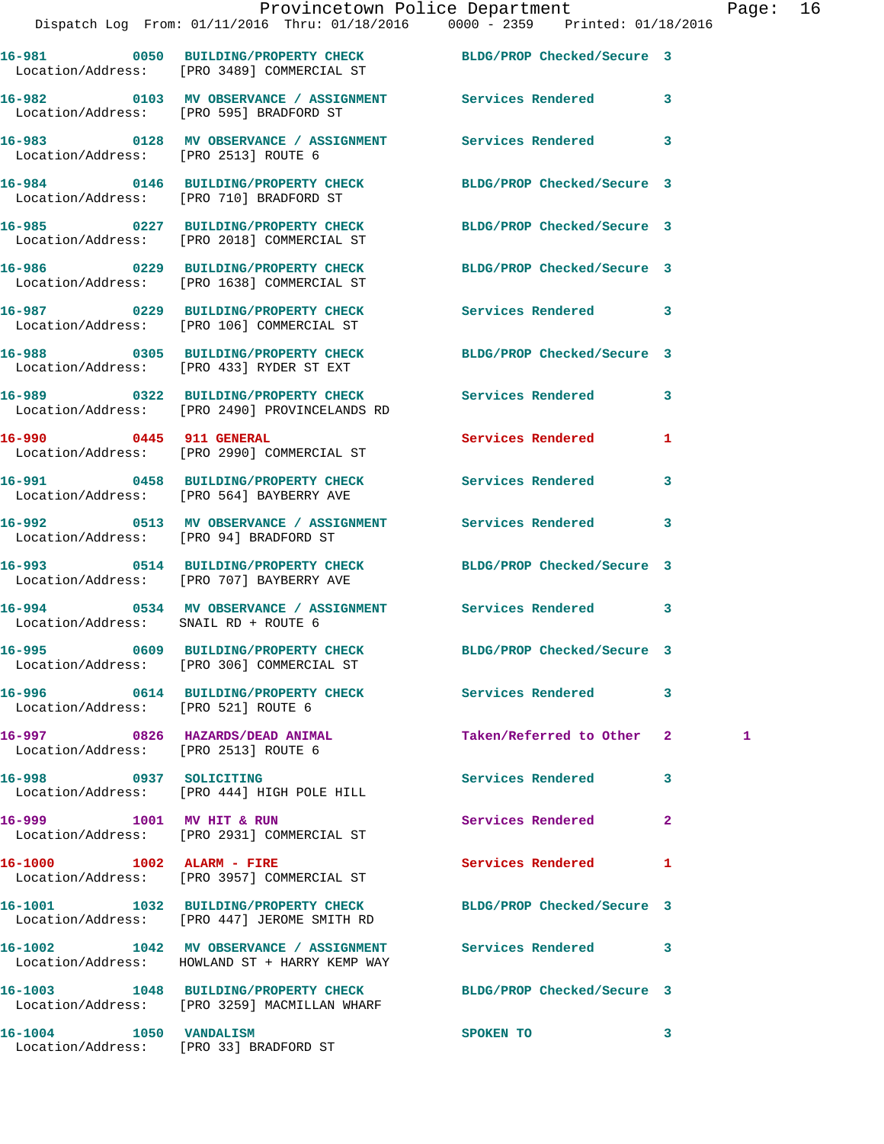|                                      | Dispatch Log From: 01/11/2016 Thru: 01/18/2016 0000 - 2359 Printed: 01/18/2016                                  | Provincetown Police Department Page: 16 |              |   |  |
|--------------------------------------|-----------------------------------------------------------------------------------------------------------------|-----------------------------------------|--------------|---|--|
|                                      | 16-981 0050 BUILDING/PROPERTY CHECK BLDG/PROP Checked/Secure 3<br>Location/Address: [PRO 3489] COMMERCIAL ST    |                                         |              |   |  |
|                                      | 16-982 0103 MV OBSERVANCE / ASSIGNMENT Services Rendered 3<br>Location/Address: [PRO 595] BRADFORD ST           |                                         |              |   |  |
| Location/Address: [PRO 2513] ROUTE 6 | 16-983 0128 MV OBSERVANCE / ASSIGNMENT Services Rendered 3                                                      |                                         |              |   |  |
|                                      | 16-984 0146 BUILDING/PROPERTY CHECK BLDG/PROP Checked/Secure 3<br>Location/Address: [PRO 710] BRADFORD ST       |                                         |              |   |  |
|                                      | 16-985 0227 BUILDING/PROPERTY CHECK BLDG/PROP Checked/Secure 3<br>Location/Address: [PRO 2018] COMMERCIAL ST    |                                         |              |   |  |
|                                      | 16-986 0229 BUILDING/PROPERTY CHECK BLDG/PROP Checked/Secure 3<br>Location/Address: [PRO 1638] COMMERCIAL ST    |                                         |              |   |  |
|                                      | 16-987 6229 BUILDING/PROPERTY CHECK Services Rendered 3<br>Location/Address: [PRO 106] COMMERCIAL ST            |                                         |              |   |  |
|                                      | 16-988 0305 BUILDING/PROPERTY CHECK BLDG/PROP Checked/Secure 3<br>Location/Address: [PRO 433] RYDER ST EXT      |                                         |              |   |  |
|                                      | 16-989 0322 BUILDING/PROPERTY CHECK Services Rendered 3<br>Location/Address: [PRO 2490] PROVINCELANDS RD        |                                         |              |   |  |
|                                      | 16-990 0445 911 GENERAL<br>Location/Address: [PRO 2990] COMMERCIAL ST                                           | Services Rendered                       | 1            |   |  |
|                                      | 16-991 0458 BUILDING/PROPERTY CHECK Services Rendered 3<br>Location/Address: [PRO 564] BAYBERRY AVE             |                                         |              |   |  |
|                                      | 16-992 0513 MV OBSERVANCE / ASSIGNMENT Services Rendered 3<br>Location/Address: [PRO 94] BRADFORD ST            |                                         |              |   |  |
|                                      | 16-993 0514 BUILDING/PROPERTY CHECK BLDG/PROP Checked/Secure 3<br>Location/Address: [PRO 707] BAYBERRY AVE      |                                         |              |   |  |
| Location/Address: SNAIL RD + ROUTE 6 | 16-994 0534 MV OBSERVANCE / ASSIGNMENT Services Rendered 3                                                      |                                         |              |   |  |
|                                      | 16-995 0609 BUILDING/PROPERTY CHECK<br>Location/Address: [PRO 306] COMMERCIAL ST                                | BLDG/PROP Checked/Secure 3              |              |   |  |
| Location/Address: [PRO 521] ROUTE 6  | 16-996 0614 BUILDING/PROPERTY CHECK Services Rendered                                                           |                                         | 3            |   |  |
| Location/Address: [PRO 2513] ROUTE 6 | 16-997 0826 HAZARDS/DEAD ANIMAL                                                                                 | Taken/Referred to Other 2               |              | 1 |  |
| 16-998 0937 SOLICITING               | Location/Address: [PRO 444] HIGH POLE HILL                                                                      | Services Rendered                       | 3            |   |  |
| 16-999 1001 MV HIT & RUN             | Location/Address: [PRO 2931] COMMERCIAL ST                                                                      | Services Rendered                       | $\mathbf{2}$ |   |  |
| 16-1000 1002 ALARM - FIRE            | Location/Address: [PRO 3957] COMMERCIAL ST                                                                      | Services Rendered                       | 1            |   |  |
|                                      | 16-1001 1032 BUILDING/PROPERTY CHECK BLDG/PROP Checked/Secure 3<br>Location/Address: [PRO 447] JEROME SMITH RD  |                                         |              |   |  |
|                                      | 16-1002 1042 MV OBSERVANCE / ASSIGNMENT<br>Location/Address: HOWLAND ST + HARRY KEMP WAY                        | Services Rendered 3                     |              |   |  |
|                                      | 16-1003 1048 BUILDING/PROPERTY CHECK BLDG/PROP Checked/Secure 3<br>Location/Address: [PRO 3259] MACMILLAN WHARF |                                         |              |   |  |

Location/Address: [PRO 33] BRADFORD ST

**16-1004 1050 VANDALISM SPOKEN TO 3**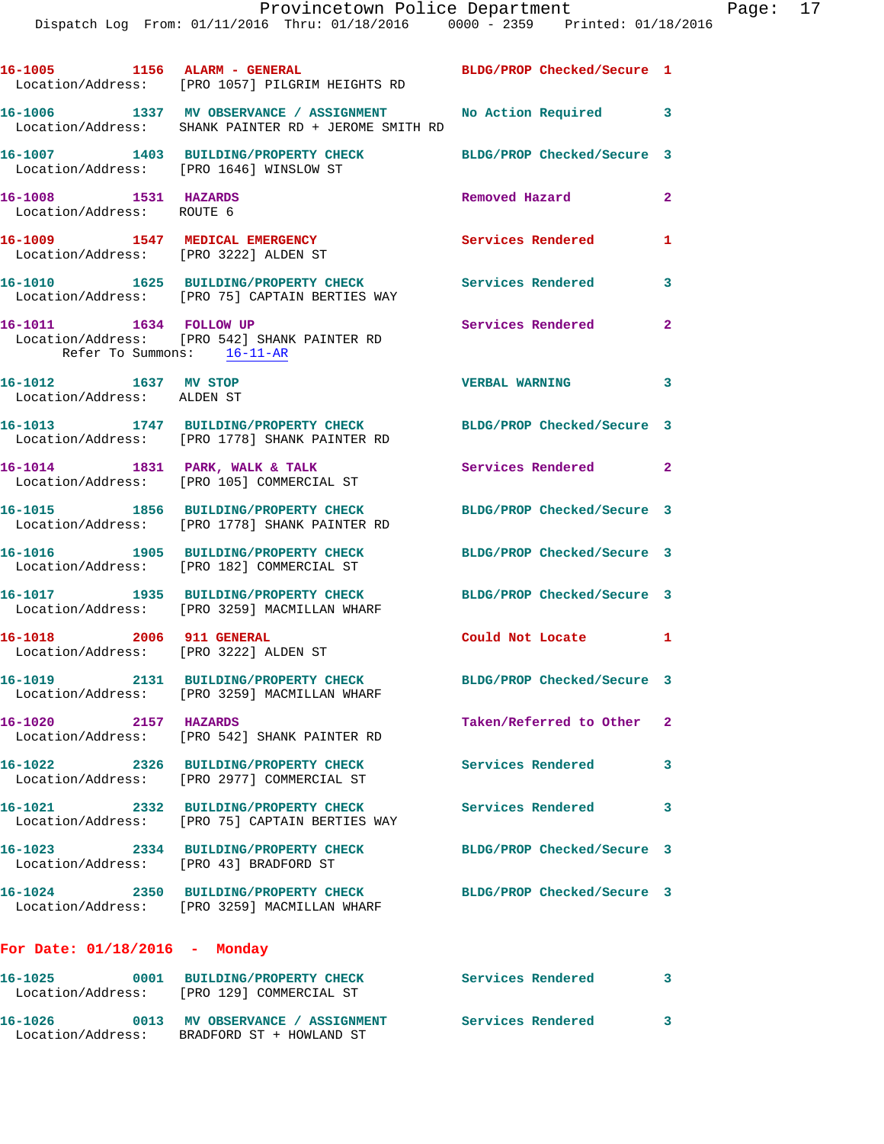|                                                                         | 16-1005 1156 ALARM - GENERAL<br>Location/Address: [PRO 1057] PILGRIM HEIGHTS RD                                      | BLDG/PROP Checked/Secure 1 |                          |
|-------------------------------------------------------------------------|----------------------------------------------------------------------------------------------------------------------|----------------------------|--------------------------|
|                                                                         | 16-1006 1337 MV OBSERVANCE / ASSIGNMENT No Action Required 3<br>Location/Address: SHANK PAINTER RD + JEROME SMITH RD |                            |                          |
| Location/Address: [PRO 1646] WINSLOW ST                                 | 16-1007 1403 BUILDING/PROPERTY CHECK                                                                                 | BLDG/PROP Checked/Secure 3 |                          |
| 16-1008 1531 HAZARDS<br>Location/Address: ROUTE 6                       |                                                                                                                      | Removed Hazard             | $\overline{2}$           |
| 16-1009 1547 MEDICAL EMERGENCY<br>Location/Address: [PRO 3222] ALDEN ST |                                                                                                                      | <b>Services Rendered</b>   | 1                        |
|                                                                         | 16-1010 1625 BUILDING/PROPERTY CHECK<br>Location/Address: [PRO 75] CAPTAIN BERTIES WAY                               | <b>Services Rendered</b>   | 3                        |
| 16-1011 1634 FOLLOW UP<br>Refer To Summons: $16-11-AR$                  | Location/Address: [PRO 542] SHANK PAINTER RD                                                                         | Services Rendered          | $\overline{a}$           |
| 16-1012 1637 MV STOP<br>Location/Address: ALDEN ST                      |                                                                                                                      | <b>VERBAL WARNING</b>      | $\overline{\phantom{a}}$ |
|                                                                         | 16-1013 1747 BUILDING/PROPERTY CHECK<br>Location/Address: [PRO 1778] SHANK PAINTER RD                                | BLDG/PROP Checked/Secure 3 |                          |
|                                                                         | 16-1014 1831 PARK, WALK & TALK<br>Location/Address: [PRO 105] COMMERCIAL ST                                          | Services Rendered 2        |                          |
|                                                                         | 16-1015 1856 BUILDING/PROPERTY CHECK<br>Location/Address: [PRO 1778] SHANK PAINTER RD                                | BLDG/PROP Checked/Secure 3 |                          |
|                                                                         | 16-1016 1905 BUILDING/PROPERTY CHECK<br>Location/Address: [PRO 182] COMMERCIAL ST                                    | BLDG/PROP Checked/Secure 3 |                          |
|                                                                         | 16-1017 1935 BUILDING/PROPERTY CHECK<br>Location/Address: [PRO 3259] MACMILLAN WHARF                                 | BLDG/PROP Checked/Secure 3 |                          |
| 16-1018 2006 911 GENERAL<br>Location/Address: [PRO 3222] ALDEN ST       |                                                                                                                      | Could Not Locate 1         |                          |
|                                                                         | 16-1019 2131 BUILDING/PROPERTY CHECK<br>Location/Address: [PRO 3259] MACMILLAN WHARF                                 | BLDG/PROP Checked/Secure 3 |                          |
| 16-1020 2157 HAZARDS                                                    | Location/Address: [PRO 542] SHANK PAINTER RD                                                                         | Taken/Referred to Other 2  |                          |
|                                                                         | 16-1022 2326 BUILDING/PROPERTY CHECK<br>Location/Address: [PRO 2977] COMMERCIAL ST                                   | Services Rendered 3        |                          |
|                                                                         | 16-1021 2332 BUILDING/PROPERTY CHECK Services Rendered<br>Location/Address: [PRO 75] CAPTAIN BERTIES WAY             |                            | 3                        |
| Location/Address: [PRO 43] BRADFORD ST                                  | 16-1023 2334 BUILDING/PROPERTY CHECK BLDG/PROP Checked/Secure 3                                                      |                            |                          |
|                                                                         | 16-1024 2350 BUILDING/PROPERTY CHECK BLDG/PROP Checked/Secure 3<br>Location/Address: [PRO 3259] MACMILLAN WHARF      |                            |                          |
| For Date: $01/18/2016$ - Monday                                         |                                                                                                                      |                            |                          |
|                                                                         | 16-1025 0001 BUILDING/PROPERTY CHECK<br>Location/Address: [PRO 129] COMMERCIAL ST                                    | Services Rendered          | 3                        |
|                                                                         | 16-1026  0013 MV OBSERVANCE / ASSIGNMENT Services Rendered<br>Location (Address: DRADFORD CT + HOWLAND CT            |                            | 3                        |

Location/Address: BRADFORD ST + HOWLAND ST